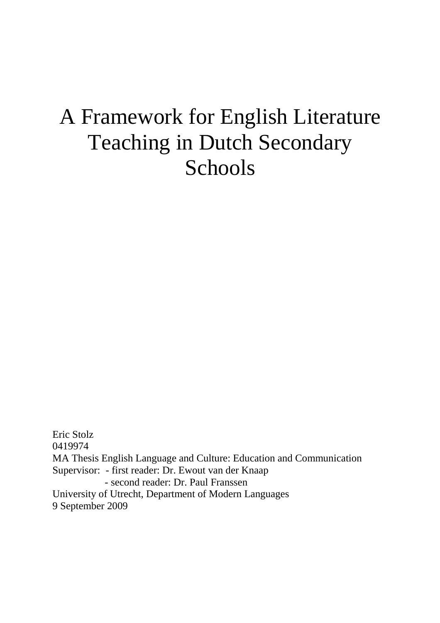# A Framework for English Literature Teaching in Dutch Secondary Schools

Eric Stolz 0419974 MA Thesis English Language and Culture: Education and Communication Supervisor: - first reader: Dr. Ewout van der Knaap - second reader: Dr. Paul Franssen University of Utrecht, Department of Modern Languages 9 September 2009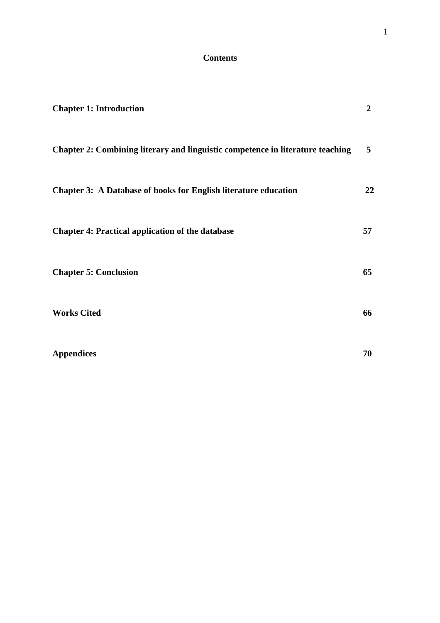# **Contents**

| <b>Chapter 1: Introduction</b>                                                 | $\overline{2}$ |
|--------------------------------------------------------------------------------|----------------|
| Chapter 2: Combining literary and linguistic competence in literature teaching | $5^{\circ}$    |
| <b>Chapter 3: A Database of books for English literature education</b>         | 22             |
| <b>Chapter 4: Practical application of the database</b>                        | 57             |
| <b>Chapter 5: Conclusion</b>                                                   | 65             |
| <b>Works Cited</b>                                                             | 66             |
| <b>Appendices</b>                                                              | 70             |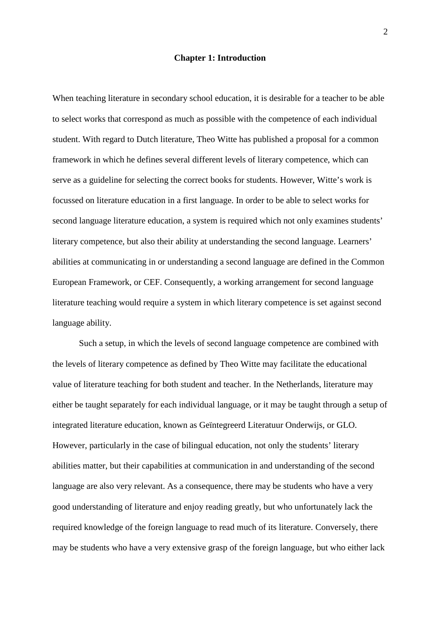#### **Chapter 1: Introduction**

When teaching literature in secondary school education, it is desirable for a teacher to be able to select works that correspond as much as possible with the competence of each individual student. With regard to Dutch literature, Theo Witte has published a proposal for a common framework in which he defines several different levels of literary competence, which can serve as a guideline for selecting the correct books for students. However, Witte's work is focussed on literature education in a first language. In order to be able to select works for second language literature education, a system is required which not only examines students' literary competence, but also their ability at understanding the second language. Learners' abilities at communicating in or understanding a second language are defined in the Common European Framework, or CEF. Consequently, a working arrangement for second language literature teaching would require a system in which literary competence is set against second language ability.

Such a setup, in which the levels of second language competence are combined with the levels of literary competence as defined by Theo Witte may facilitate the educational value of literature teaching for both student and teacher. In the Netherlands, literature may either be taught separately for each individual language, or it may be taught through a setup of integrated literature education, known as Geïntegreerd Literatuur Onderwijs, or GLO. However, particularly in the case of bilingual education, not only the students' literary abilities matter, but their capabilities at communication in and understanding of the second language are also very relevant. As a consequence, there may be students who have a very good understanding of literature and enjoy reading greatly, but who unfortunately lack the required knowledge of the foreign language to read much of its literature. Conversely, there may be students who have a very extensive grasp of the foreign language, but who either lack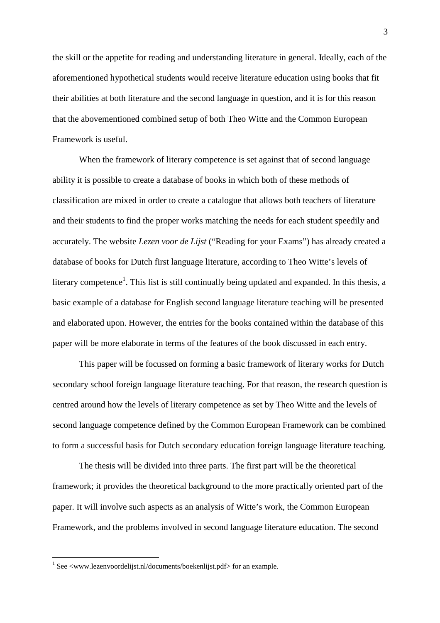the skill or the appetite for reading and understanding literature in general. Ideally, each of the aforementioned hypothetical students would receive literature education using books that fit their abilities at both literature and the second language in question, and it is for this reason that the abovementioned combined setup of both Theo Witte and the Common European Framework is useful.

When the framework of literary competence is set against that of second language ability it is possible to create a database of books in which both of these methods of classification are mixed in order to create a catalogue that allows both teachers of literature and their students to find the proper works matching the needs for each student speedily and accurately. The website *Lezen voor de Lijst* ("Reading for your Exams") has already created a database of books for Dutch first language literature, according to Theo Witte's levels of literary competence<sup>1</sup>. This list is still continually being updated and expanded. In this thesis, a basic example of a database for English second language literature teaching will be presented and elaborated upon. However, the entries for the books contained within the database of this paper will be more elaborate in terms of the features of the book discussed in each entry.

 This paper will be focussed on forming a basic framework of literary works for Dutch secondary school foreign language literature teaching. For that reason, the research question is centred around how the levels of literary competence as set by Theo Witte and the levels of second language competence defined by the Common European Framework can be combined to form a successful basis for Dutch secondary education foreign language literature teaching.

 The thesis will be divided into three parts. The first part will be the theoretical framework; it provides the theoretical background to the more practically oriented part of the paper. It will involve such aspects as an analysis of Witte's work, the Common European Framework, and the problems involved in second language literature education. The second

 $\overline{a}$ 

 $1$  See <www.lezenvoordelijst.nl/documents/boekenlijst.pdf> for an example.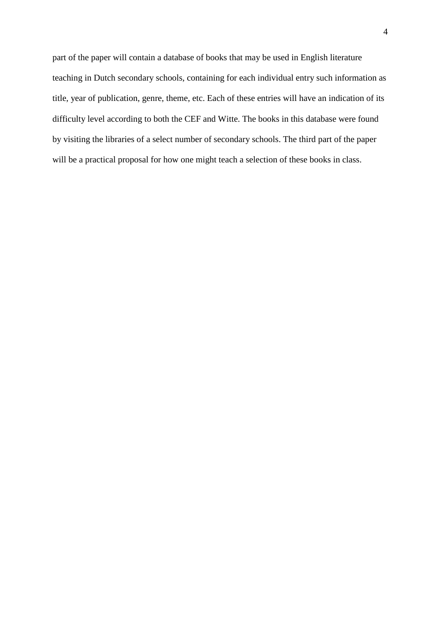part of the paper will contain a database of books that may be used in English literature teaching in Dutch secondary schools, containing for each individual entry such information as title, year of publication, genre, theme, etc. Each of these entries will have an indication of its difficulty level according to both the CEF and Witte. The books in this database were found by visiting the libraries of a select number of secondary schools. The third part of the paper will be a practical proposal for how one might teach a selection of these books in class.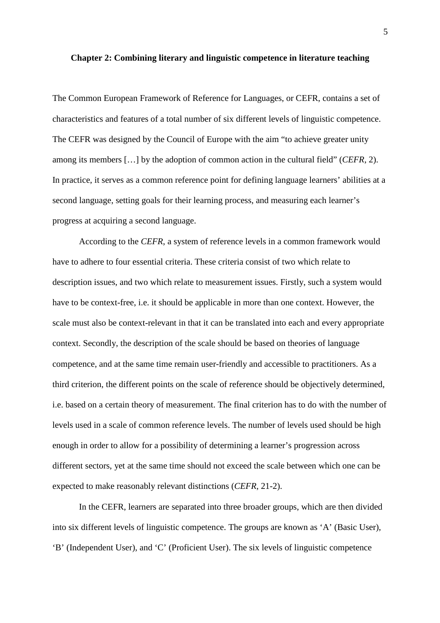#### **Chapter 2: Combining literary and linguistic competence in literature teaching**

The Common European Framework of Reference for Languages, or CEFR, contains a set of characteristics and features of a total number of six different levels of linguistic competence. The CEFR was designed by the Council of Europe with the aim "to achieve greater unity among its members […] by the adoption of common action in the cultural field" (*CEFR*, 2). In practice, it serves as a common reference point for defining language learners' abilities at a second language, setting goals for their learning process, and measuring each learner's progress at acquiring a second language.

According to the *CEFR*, a system of reference levels in a common framework would have to adhere to four essential criteria. These criteria consist of two which relate to description issues, and two which relate to measurement issues. Firstly, such a system would have to be context-free, i.e. it should be applicable in more than one context. However, the scale must also be context-relevant in that it can be translated into each and every appropriate context. Secondly, the description of the scale should be based on theories of language competence, and at the same time remain user-friendly and accessible to practitioners. As a third criterion, the different points on the scale of reference should be objectively determined, i.e. based on a certain theory of measurement. The final criterion has to do with the number of levels used in a scale of common reference levels. The number of levels used should be high enough in order to allow for a possibility of determining a learner's progression across different sectors, yet at the same time should not exceed the scale between which one can be expected to make reasonably relevant distinctions (*CEFR*, 21-2).

 In the CEFR, learners are separated into three broader groups, which are then divided into six different levels of linguistic competence. The groups are known as 'A' (Basic User), 'B' (Independent User), and 'C' (Proficient User). The six levels of linguistic competence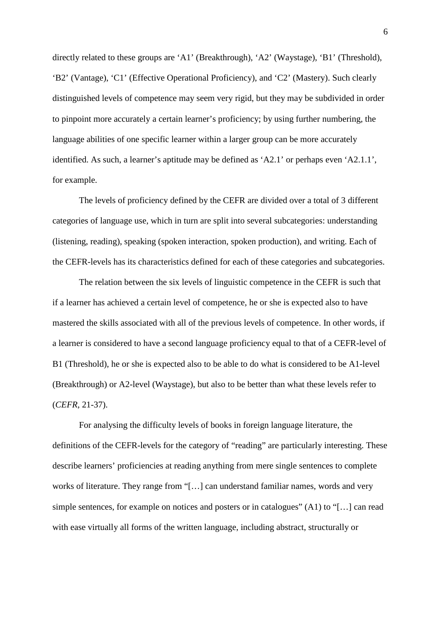directly related to these groups are 'A1' (Breakthrough), 'A2' (Waystage), 'B1' (Threshold), 'B2' (Vantage), 'C1' (Effective Operational Proficiency), and 'C2' (Mastery). Such clearly distinguished levels of competence may seem very rigid, but they may be subdivided in order to pinpoint more accurately a certain learner's proficiency; by using further numbering, the language abilities of one specific learner within a larger group can be more accurately identified. As such, a learner's aptitude may be defined as 'A2.1' or perhaps even 'A2.1.1', for example.

The levels of proficiency defined by the CEFR are divided over a total of 3 different categories of language use, which in turn are split into several subcategories: understanding (listening, reading), speaking (spoken interaction, spoken production), and writing. Each of the CEFR-levels has its characteristics defined for each of these categories and subcategories.

The relation between the six levels of linguistic competence in the CEFR is such that if a learner has achieved a certain level of competence, he or she is expected also to have mastered the skills associated with all of the previous levels of competence. In other words, if a learner is considered to have a second language proficiency equal to that of a CEFR-level of B1 (Threshold), he or she is expected also to be able to do what is considered to be A1-level (Breakthrough) or A2-level (Waystage), but also to be better than what these levels refer to (*CEFR*, 21-37).

For analysing the difficulty levels of books in foreign language literature, the definitions of the CEFR-levels for the category of "reading" are particularly interesting. These describe learners' proficiencies at reading anything from mere single sentences to complete works of literature. They range from "[…] can understand familiar names, words and very simple sentences, for example on notices and posters or in catalogues" (A1) to "[…] can read with ease virtually all forms of the written language, including abstract, structurally or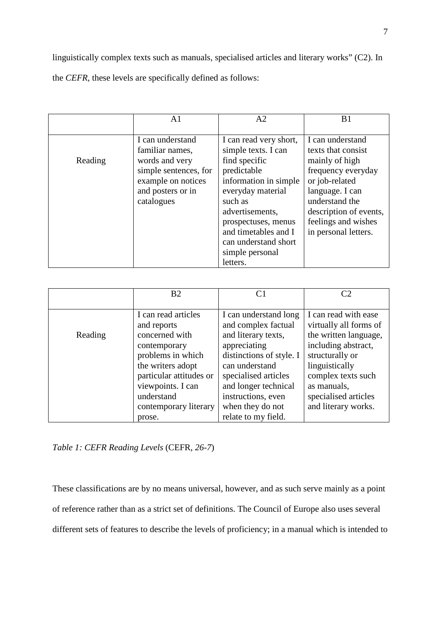linguistically complex texts such as manuals, specialised articles and literary works" (C2). In the *CEFR*, these levels are specifically defined as follows:

|         | A1                    | A <sub>2</sub>         | B <sub>1</sub>         |
|---------|-----------------------|------------------------|------------------------|
|         |                       |                        |                        |
|         | I can understand      | I can read very short, | I can understand       |
|         | familiar names,       | simple texts. I can    | texts that consist     |
| Reading | words and very        | find specific          | mainly of high         |
|         | simple sentences, for | predictable            | frequency everyday     |
|         | example on notices    | information in simple  | or job-related         |
|         | and posters or in     | everyday material      | language. I can        |
|         | catalogues            | such as                | understand the         |
|         |                       | advertisements,        | description of events, |
|         |                       | prospectuses, menus    | feelings and wishes    |
|         |                       | and timetables and I   | in personal letters.   |
|         |                       | can understand short   |                        |
|         |                       | simple personal        |                        |
|         |                       | letters.               |                        |

|         | B <sub>2</sub>                                                                                                                                                                                                  | C <sub>1</sub>                                                                                                                                                                                                                                     |                                                                                                                                                                                                                         |
|---------|-----------------------------------------------------------------------------------------------------------------------------------------------------------------------------------------------------------------|----------------------------------------------------------------------------------------------------------------------------------------------------------------------------------------------------------------------------------------------------|-------------------------------------------------------------------------------------------------------------------------------------------------------------------------------------------------------------------------|
| Reading | I can read articles<br>and reports<br>concerned with<br>contemporary<br>problems in which<br>the writers adopt<br>particular attitudes or<br>viewpoints. I can<br>understand<br>contemporary literary<br>prose. | I can understand long<br>and complex factual<br>and literary texts,<br>appreciating<br>distinctions of style. I<br>can understand<br>specialised articles<br>and longer technical<br>instructions, even<br>when they do not<br>relate to my field. | I can read with ease<br>virtually all forms of<br>the written language,<br>including abstract,<br>structurally or<br>linguistically<br>complex texts such<br>as manuals,<br>specialised articles<br>and literary works. |

*Table 1: CEFR Reading Levels* (CEFR, *26-7*)

These classifications are by no means universal, however, and as such serve mainly as a point of reference rather than as a strict set of definitions. The Council of Europe also uses several different sets of features to describe the levels of proficiency; in a manual which is intended to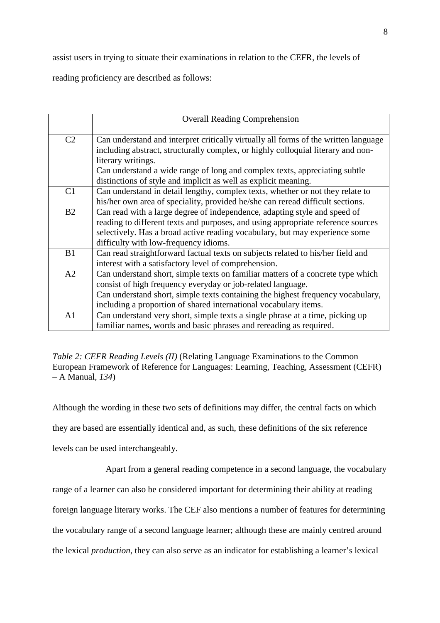assist users in trying to situate their examinations in relation to the CEFR, the levels of

reading proficiency are described as follows:

|                | <b>Overall Reading Comprehension</b>                                                |
|----------------|-------------------------------------------------------------------------------------|
|                |                                                                                     |
| C <sub>2</sub> | Can understand and interpret critically virtually all forms of the written language |
|                | including abstract, structurally complex, or highly colloquial literary and non-    |
|                | literary writings.                                                                  |
|                | Can understand a wide range of long and complex texts, appreciating subtle          |
|                | distinctions of style and implicit as well as explicit meaning.                     |
| C <sub>1</sub> | Can understand in detail lengthy, complex texts, whether or not they relate to      |
|                | his/her own area of speciality, provided he/she can reread difficult sections.      |
| B <sub>2</sub> | Can read with a large degree of independence, adapting style and speed of           |
|                | reading to different texts and purposes, and using appropriate reference sources    |
|                | selectively. Has a broad active reading vocabulary, but may experience some         |
|                | difficulty with low-frequency idioms.                                               |
| B1             | Can read straightforward factual texts on subjects related to his/her field and     |
|                | interest with a satisfactory level of comprehension.                                |
| A2             | Can understand short, simple texts on familiar matters of a concrete type which     |
|                | consist of high frequency everyday or job-related language.                         |
|                | Can understand short, simple texts containing the highest frequency vocabulary,     |
|                | including a proportion of shared international vocabulary items.                    |
| A <sub>1</sub> | Can understand very short, simple texts a single phrase at a time, picking up       |
|                | familiar names, words and basic phrases and rereading as required.                  |

*Table 2: CEFR Reading Levels (II)* (Relating Language Examinations to the Common European Framework of Reference for Languages: Learning, Teaching, Assessment (CEFR) – A Manual, *134*)

Although the wording in these two sets of definitions may differ, the central facts on which they are based are essentially identical and, as such, these definitions of the six reference levels can be used interchangeably.

Apart from a general reading competence in a second language, the vocabulary

range of a learner can also be considered important for determining their ability at reading

foreign language literary works. The CEF also mentions a number of features for determining

the vocabulary range of a second language learner; although these are mainly centred around

the lexical *production*, they can also serve as an indicator for establishing a learner's lexical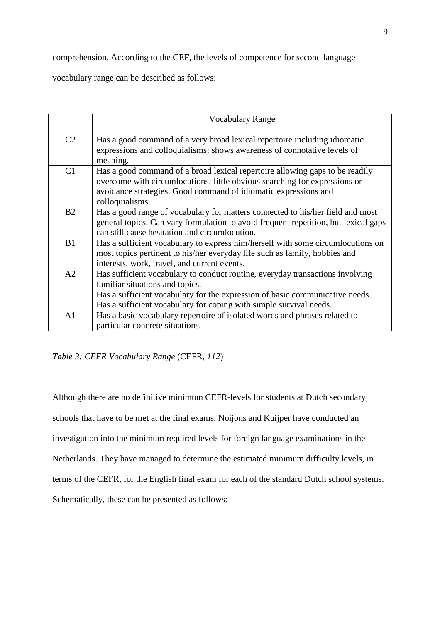comprehension. According to the CEF, the levels of competence for second language

vocabulary range can be described as follows:

|                | <b>Vocabulary Range</b>                                                                                                                                                                                                                                                |
|----------------|------------------------------------------------------------------------------------------------------------------------------------------------------------------------------------------------------------------------------------------------------------------------|
| C <sub>2</sub> | Has a good command of a very broad lexical repertoire including idiomatic<br>expressions and colloquialisms; shows awareness of connotative levels of<br>meaning.                                                                                                      |
| C <sub>1</sub> | Has a good command of a broad lexical repertoire allowing gaps to be readily<br>overcome with circumlocutions; little obvious searching for expressions or<br>avoidance strategies. Good command of idiomatic expressions and<br>colloquialisms.                       |
| B <sub>2</sub> | Has a good range of vocabulary for matters connected to his/her field and most<br>general topics. Can vary formulation to avoid frequent repetition, but lexical gaps<br>can still cause hesitation and circumlocution.                                                |
| B1             | Has a sufficient vocabulary to express him/herself with some circumlocutions on<br>most topics pertinent to his/her everyday life such as family, hobbies and<br>interests, work, travel, and current events.                                                          |
| A2             | Has sufficient vocabulary to conduct routine, everyday transactions involving<br>familiar situations and topics.<br>Has a sufficient vocabulary for the expression of basic communicative needs.<br>Has a sufficient vocabulary for coping with simple survival needs. |
| A <sub>1</sub> | Has a basic vocabulary repertoire of isolated words and phrases related to<br>particular concrete situations.                                                                                                                                                          |

*Table 3: CEFR Vocabulary Range* (CEFR, *112*)

Although there are no definitive minimum CEFR-levels for students at Dutch secondary schools that have to be met at the final exams, Noijons and Kuijper have conducted an investigation into the minimum required levels for foreign language examinations in the Netherlands. They have managed to determine the estimated minimum difficulty levels, in terms of the CEFR, for the English final exam for each of the standard Dutch school systems. Schematically, these can be presented as follows: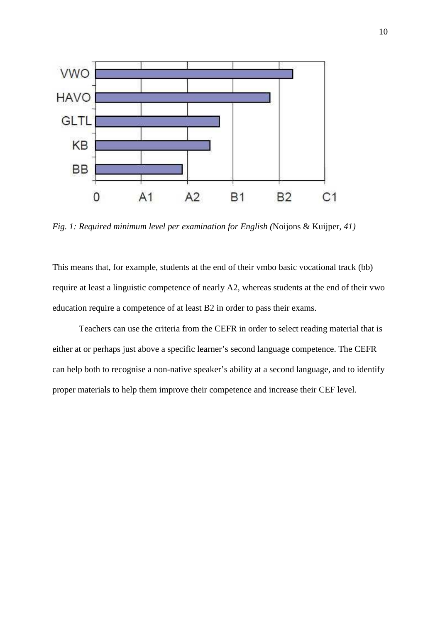

*Fig. 1: Required minimum level per examination for English (*Noijons & Kuijper*, 41)* 

This means that, for example, students at the end of their vmbo basic vocational track (bb) require at least a linguistic competence of nearly A2, whereas students at the end of their vwo education require a competence of at least B2 in order to pass their exams.

Teachers can use the criteria from the CEFR in order to select reading material that is either at or perhaps just above a specific learner's second language competence. The CEFR can help both to recognise a non-native speaker's ability at a second language, and to identify proper materials to help them improve their competence and increase their CEF level.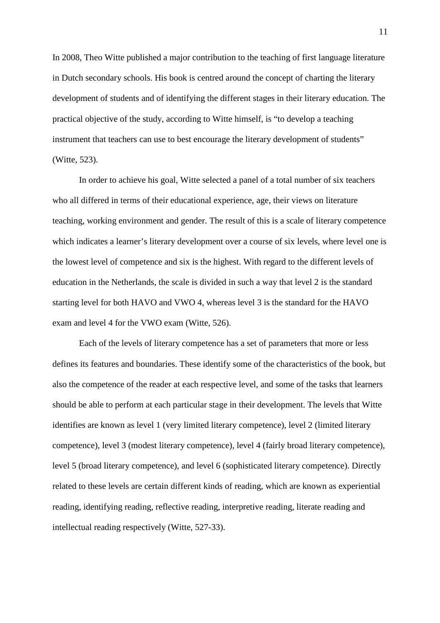In 2008, Theo Witte published a major contribution to the teaching of first language literature in Dutch secondary schools. His book is centred around the concept of charting the literary development of students and of identifying the different stages in their literary education. The practical objective of the study, according to Witte himself, is "to develop a teaching instrument that teachers can use to best encourage the literary development of students" (Witte, 523).

In order to achieve his goal, Witte selected a panel of a total number of six teachers who all differed in terms of their educational experience, age, their views on literature teaching, working environment and gender. The result of this is a scale of literary competence which indicates a learner's literary development over a course of six levels, where level one is the lowest level of competence and six is the highest. With regard to the different levels of education in the Netherlands, the scale is divided in such a way that level 2 is the standard starting level for both HAVO and VWO 4, whereas level 3 is the standard for the HAVO exam and level 4 for the VWO exam (Witte, 526).

Each of the levels of literary competence has a set of parameters that more or less defines its features and boundaries. These identify some of the characteristics of the book, but also the competence of the reader at each respective level, and some of the tasks that learners should be able to perform at each particular stage in their development. The levels that Witte identifies are known as level 1 (very limited literary competence), level 2 (limited literary competence), level 3 (modest literary competence), level 4 (fairly broad literary competence), level 5 (broad literary competence), and level 6 (sophisticated literary competence). Directly related to these levels are certain different kinds of reading, which are known as experiential reading, identifying reading, reflective reading, interpretive reading, literate reading and intellectual reading respectively (Witte, 527-33).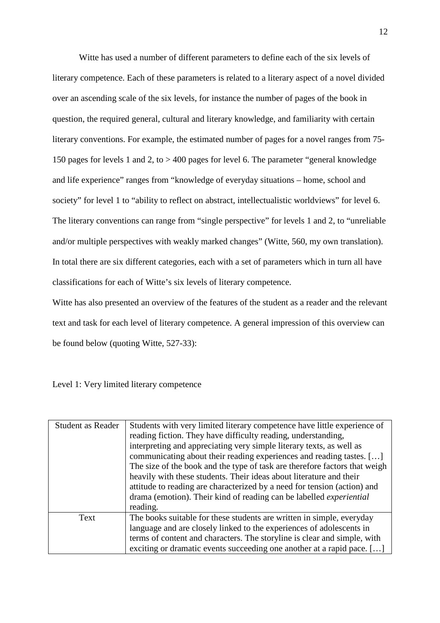Witte has used a number of different parameters to define each of the six levels of literary competence. Each of these parameters is related to a literary aspect of a novel divided over an ascending scale of the six levels, for instance the number of pages of the book in question, the required general, cultural and literary knowledge, and familiarity with certain literary conventions. For example, the estimated number of pages for a novel ranges from 75- 150 pages for levels 1 and 2, to > 400 pages for level 6. The parameter "general knowledge and life experience" ranges from "knowledge of everyday situations – home, school and society" for level 1 to "ability to reflect on abstract, intellectualistic worldviews" for level 6. The literary conventions can range from "single perspective" for levels 1 and 2, to "unreliable and/or multiple perspectives with weakly marked changes" (Witte, 560, my own translation). In total there are six different categories, each with a set of parameters which in turn all have classifications for each of Witte's six levels of literary competence.

Witte has also presented an overview of the features of the student as a reader and the relevant text and task for each level of literary competence. A general impression of this overview can be found below (quoting Witte, 527-33):

Level 1: Very limited literary competence

| <b>Student as Reader</b> | Students with very limited literary competence have little experience of   |
|--------------------------|----------------------------------------------------------------------------|
|                          | reading fiction. They have difficulty reading, understanding,              |
|                          | interpreting and appreciating very simple literary texts, as well as       |
|                          | communicating about their reading experiences and reading tastes. []       |
|                          | The size of the book and the type of task are therefore factors that weigh |
|                          | heavily with these students. Their ideas about literature and their        |
|                          | attitude to reading are characterized by a need for tension (action) and   |
|                          | drama (emotion). Their kind of reading can be labelled <i>experiential</i> |
|                          | reading.                                                                   |
| Text                     | The books suitable for these students are written in simple, everyday      |
|                          | language and are closely linked to the experiences of adolescents in       |
|                          | terms of content and characters. The storyline is clear and simple, with   |
|                          | exciting or dramatic events succeeding one another at a rapid pace. []     |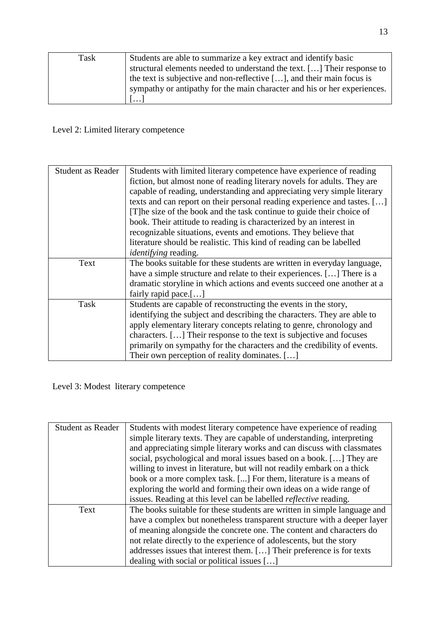| Task | Students are able to summarize a key extract and identify basic               |
|------|-------------------------------------------------------------------------------|
|      | structural elements needed to understand the text. [] Their response to       |
|      | the text is subjective and non-reflective $[\dots]$ , and their main focus is |
|      | sympathy or antipathy for the main character and his or her experiences.      |
|      | $\lfloor \ldots \rfloor$                                                      |

# Level 2: Limited literary competence

| <b>Student as Reader</b> | Students with limited literary competence have experience of reading     |
|--------------------------|--------------------------------------------------------------------------|
|                          |                                                                          |
|                          | fiction, but almost none of reading literary novels for adults. They are |
|                          | capable of reading, understanding and appreciating very simple literary  |
|                          | texts and can report on their personal reading experience and tastes. [] |
|                          | [T] he size of the book and the task continue to guide their choice of   |
|                          | book. Their attitude to reading is characterized by an interest in       |
|                          | recognizable situations, events and emotions. They believe that          |
|                          | literature should be realistic. This kind of reading can be labelled     |
|                          | <i>identifying</i> reading.                                              |
| Text                     | The books suitable for these students are written in everyday language,  |
|                          | have a simple structure and relate to their experiences. [] There is a   |
|                          | dramatic storyline in which actions and events succeed one another at a  |
|                          | fairly rapid pace.[ $\dots$ ]                                            |
| Task                     | Students are capable of reconstructing the events in the story,          |
|                          | identifying the subject and describing the characters. They are able to  |
|                          | apply elementary literary concepts relating to genre, chronology and     |
|                          | characters. [] Their response to the text is subjective and focuses      |
|                          | primarily on sympathy for the characters and the credibility of events.  |
|                          | Their own perception of reality dominates. []                            |

Level 3: Modest literary competence

| <b>Student as Reader</b> | Students with modest literary competence have experience of reading      |
|--------------------------|--------------------------------------------------------------------------|
|                          | simple literary texts. They are capable of understanding, interpreting   |
|                          | and appreciating simple literary works and can discuss with classmates   |
|                          | social, psychological and moral issues based on a book. [] They are      |
|                          | willing to invest in literature, but will not readily embark on a thick  |
|                          | book or a more complex task. [] For them, literature is a means of       |
|                          | exploring the world and forming their own ideas on a wide range of       |
|                          | issues. Reading at this level can be labelled <i>reflective</i> reading. |
| Text                     | The books suitable for these students are written in simple language and |
|                          | have a complex but nonetheless transparent structure with a deeper layer |
|                          | of meaning alongside the concrete one. The content and characters do     |
|                          | not relate directly to the experience of adolescents, but the story      |
|                          | addresses issues that interest them. [] Their preference is for texts    |
|                          | dealing with social or political issues []                               |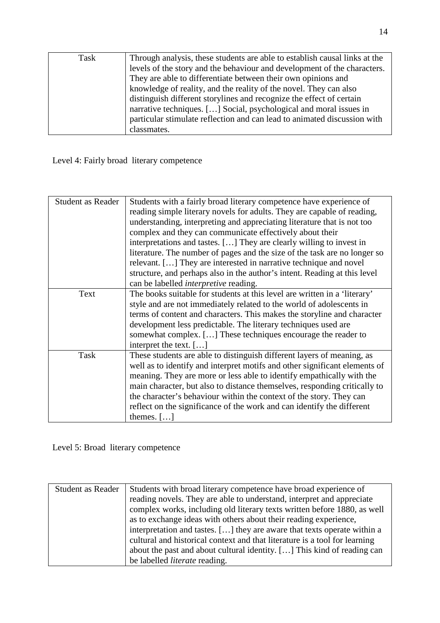| Task | Through analysis, these students are able to establish causal links at the |
|------|----------------------------------------------------------------------------|
|      | levels of the story and the behaviour and development of the characters.   |
|      | They are able to differentiate between their own opinions and              |
|      | knowledge of reality, and the reality of the novel. They can also          |
|      | distinguish different storylines and recognize the effect of certain       |
|      | narrative techniques. [] Social, psychological and moral issues in         |
|      | particular stimulate reflection and can lead to animated discussion with   |
|      | classmates.                                                                |

Level 4: Fairly broad literary competence

| <b>Student as Reader</b> | Students with a fairly broad literary competence have experience of        |
|--------------------------|----------------------------------------------------------------------------|
|                          | reading simple literary novels for adults. They are capable of reading,    |
|                          | understanding, interpreting and appreciating literature that is not too    |
|                          | complex and they can communicate effectively about their                   |
|                          | interpretations and tastes. [] They are clearly willing to invest in       |
|                          | literature. The number of pages and the size of the task are no longer so  |
|                          | relevant. [] They are interested in narrative technique and novel          |
|                          | structure, and perhaps also in the author's intent. Reading at this level  |
|                          | can be labelled <i>interpretive</i> reading.                               |
| Text                     | The books suitable for students at this level are written in a 'literary'  |
|                          | style and are not immediately related to the world of adolescents in       |
|                          | terms of content and characters. This makes the storyline and character    |
|                          | development less predictable. The literary techniques used are             |
|                          | somewhat complex. [] These techniques encourage the reader to              |
|                          | interpret the text. []                                                     |
| Task                     | These students are able to distinguish different layers of meaning, as     |
|                          | well as to identify and interpret motifs and other significant elements of |
|                          | meaning. They are more or less able to identify empathically with the      |
|                          | main character, but also to distance themselves, responding critically to  |
|                          | the character's behaviour within the context of the story. They can        |
|                          | reflect on the significance of the work and can identify the different     |
|                          | themes. $[]$                                                               |
|                          |                                                                            |

Level 5: Broad literary competence

| Student as Reader | Students with broad literary competence have broad experience of           |
|-------------------|----------------------------------------------------------------------------|
|                   | reading novels. They are able to understand, interpret and appreciate      |
|                   | complex works, including old literary texts written before 1880, as well   |
|                   | as to exchange ideas with others about their reading experience,           |
|                   | interpretation and tastes. [] they are aware that texts operate within a   |
|                   | cultural and historical context and that literature is a tool for learning |
|                   | about the past and about cultural identity. [] This kind of reading can    |
|                   | be labelled <i>literate</i> reading.                                       |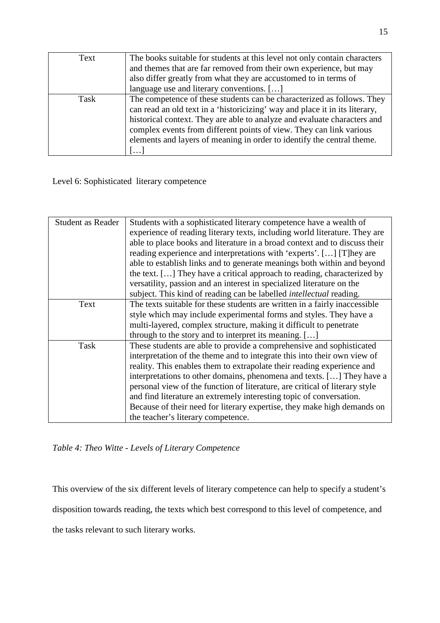| Text | The books suitable for students at this level not only contain characters   |  |  |  |
|------|-----------------------------------------------------------------------------|--|--|--|
|      | and themes that are far removed from their own experience, but may          |  |  |  |
|      | also differ greatly from what they are accustomed to in terms of            |  |  |  |
|      | language use and literary conventions. []                                   |  |  |  |
| Task | The competence of these students can be characterized as follows. They      |  |  |  |
|      | can read an old text in a 'historicizing' way and place it in its literary, |  |  |  |
|      | historical context. They are able to analyze and evaluate characters and    |  |  |  |
|      | complex events from different points of view. They can link various         |  |  |  |
|      | elements and layers of meaning in order to identify the central theme.      |  |  |  |
|      |                                                                             |  |  |  |

Level 6: Sophisticated literary competence

| <b>Student as Reader</b> | Students with a sophisticated literary competence have a wealth of          |  |  |  |
|--------------------------|-----------------------------------------------------------------------------|--|--|--|
|                          | experience of reading literary texts, including world literature. They are  |  |  |  |
|                          | able to place books and literature in a broad context and to discuss their  |  |  |  |
|                          | reading experience and interpretations with 'experts'. [] [T] hey are       |  |  |  |
|                          | able to establish links and to generate meanings both within and beyond     |  |  |  |
|                          | the text. [] They have a critical approach to reading, characterized by     |  |  |  |
|                          | versatility, passion and an interest in specialized literature on the       |  |  |  |
|                          | subject. This kind of reading can be labelled intellectual reading.         |  |  |  |
| Text                     | The texts suitable for these students are written in a fairly inaccessible  |  |  |  |
|                          | style which may include experimental forms and styles. They have a          |  |  |  |
|                          | multi-layered, complex structure, making it difficult to penetrate          |  |  |  |
|                          | through to the story and to interpret its meaning. []                       |  |  |  |
| Task                     | These students are able to provide a comprehensive and sophisticated        |  |  |  |
|                          | interpretation of the theme and to integrate this into their own view of    |  |  |  |
|                          | reality. This enables them to extrapolate their reading experience and      |  |  |  |
|                          | interpretations to other domains, phenomena and texts. [] They have a       |  |  |  |
|                          | personal view of the function of literature, are critical of literary style |  |  |  |
|                          | and find literature an extremely interesting topic of conversation.         |  |  |  |
|                          | Because of their need for literary expertise, they make high demands on     |  |  |  |
|                          | the teacher's literary competence.                                          |  |  |  |

*Table 4: Theo Witte - Levels of Literary Competence*

This overview of the six different levels of literary competence can help to specify a student's disposition towards reading, the texts which best correspond to this level of competence, and the tasks relevant to such literary works.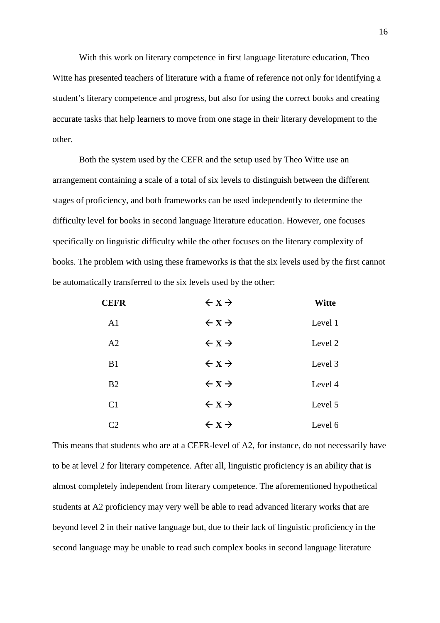With this work on literary competence in first language literature education, Theo Witte has presented teachers of literature with a frame of reference not only for identifying a student's literary competence and progress, but also for using the correct books and creating accurate tasks that help learners to move from one stage in their literary development to the other.

Both the system used by the CEFR and the setup used by Theo Witte use an arrangement containing a scale of a total of six levels to distinguish between the different stages of proficiency, and both frameworks can be used independently to determine the difficulty level for books in second language literature education. However, one focuses specifically on linguistic difficulty while the other focuses on the literary complexity of books. The problem with using these frameworks is that the six levels used by the first cannot be automatically transferred to the six levels used by the other:

| <b>CEFR</b>    | $\leftarrow$ X $\rightarrow$ | <b>Witte</b> |
|----------------|------------------------------|--------------|
| A <sub>1</sub> | $\leftarrow$ X $\rightarrow$ | Level 1      |
| A2             | $\leftarrow$ X $\rightarrow$ | Level 2      |
| B1             | $\leftarrow$ X $\rightarrow$ | Level 3      |
| B <sub>2</sub> | $\leftarrow$ X $\rightarrow$ | Level 4      |
| C <sub>1</sub> | $\leftarrow$ X $\rightarrow$ | Level 5      |
| C2             | $\leftarrow$ X $\rightarrow$ | Level 6      |

This means that students who are at a CEFR-level of A2, for instance, do not necessarily have to be at level 2 for literary competence. After all, linguistic proficiency is an ability that is almost completely independent from literary competence. The aforementioned hypothetical students at A2 proficiency may very well be able to read advanced literary works that are beyond level 2 in their native language but, due to their lack of linguistic proficiency in the second language may be unable to read such complex books in second language literature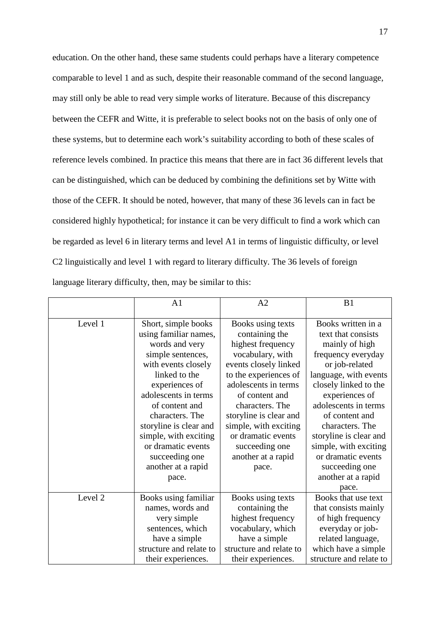education. On the other hand, these same students could perhaps have a literary competence comparable to level 1 and as such, despite their reasonable command of the second language, may still only be able to read very simple works of literature. Because of this discrepancy between the CEFR and Witte, it is preferable to select books not on the basis of only one of these systems, but to determine each work's suitability according to both of these scales of reference levels combined. In practice this means that there are in fact 36 different levels that can be distinguished, which can be deduced by combining the definitions set by Witte with those of the CEFR. It should be noted, however, that many of these 36 levels can in fact be considered highly hypothetical; for instance it can be very difficult to find a work which can be regarded as level 6 in literary terms and level A1 in terms of linguistic difficulty, or level C2 linguistically and level 1 with regard to literary difficulty. The 36 levels of foreign language literary difficulty, then, may be similar to this:

|         | A1                      | A2                      | B1                      |
|---------|-------------------------|-------------------------|-------------------------|
|         |                         |                         |                         |
| Level 1 | Short, simple books     | Books using texts       | Books written in a      |
|         | using familiar names,   | containing the          | text that consists      |
|         | words and very          | highest frequency       | mainly of high          |
|         | simple sentences,       | vocabulary, with        | frequency everyday      |
|         | with events closely     | events closely linked   | or job-related          |
|         | linked to the           | to the experiences of   | language, with events   |
|         | experiences of          | adolescents in terms    | closely linked to the   |
|         | adolescents in terms    | of content and          | experiences of          |
|         | of content and          | characters. The         | adolescents in terms    |
|         | characters. The         | storyline is clear and  | of content and          |
|         | storyline is clear and  | simple, with exciting   | characters. The         |
|         | simple, with exciting   | or dramatic events      | storyline is clear and  |
|         | or dramatic events      | succeeding one          | simple, with exciting   |
|         | succeeding one          | another at a rapid      | or dramatic events      |
|         | another at a rapid      | pace.                   | succeeding one          |
|         | pace.                   |                         | another at a rapid      |
|         |                         |                         | pace.                   |
| Level 2 | Books using familiar    | Books using texts       | Books that use text     |
|         | names, words and        | containing the          | that consists mainly    |
|         | very simple             | highest frequency       | of high frequency       |
|         | sentences, which        | vocabulary, which       | everyday or job-        |
|         | have a simple           | have a simple           | related language,       |
|         | structure and relate to | structure and relate to | which have a simple     |
|         | their experiences.      | their experiences.      | structure and relate to |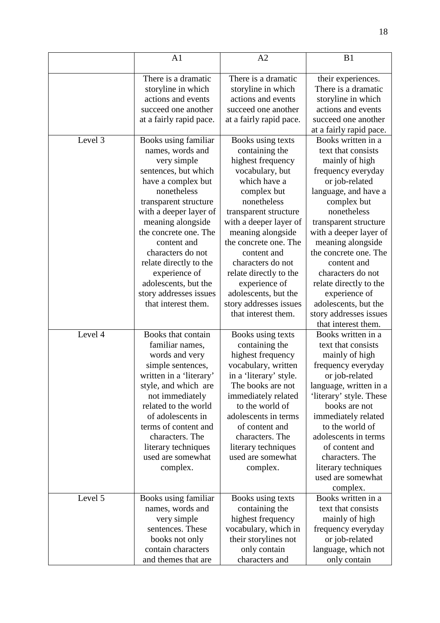|         | A <sub>1</sub>          | A2                      | B1                      |
|---------|-------------------------|-------------------------|-------------------------|
|         |                         |                         |                         |
|         | There is a dramatic     | There is a dramatic     | their experiences.      |
|         | storyline in which      | storyline in which      | There is a dramatic     |
|         | actions and events      | actions and events      | storyline in which      |
|         | succeed one another     | succeed one another     | actions and events      |
|         | at a fairly rapid pace. | at a fairly rapid pace. | succeed one another     |
|         |                         |                         | at a fairly rapid pace. |
| Level 3 | Books using familiar    | Books using texts       | Books written in a      |
|         | names, words and        | containing the          | text that consists      |
|         | very simple             | highest frequency       | mainly of high          |
|         | sentences, but which    | vocabulary, but         | frequency everyday      |
|         | have a complex but      | which have a            | or job-related          |
|         | nonetheless             | complex but             | language, and have a    |
|         | transparent structure   | nonetheless             | complex but             |
|         | with a deeper layer of  | transparent structure   | nonetheless             |
|         | meaning alongside       | with a deeper layer of  | transparent structure   |
|         | the concrete one. The   | meaning alongside       | with a deeper layer of  |
|         | content and             | the concrete one. The   | meaning alongside       |
|         | characters do not       | content and             | the concrete one. The   |
|         | relate directly to the  | characters do not       | content and             |
|         | experience of           | relate directly to the  | characters do not       |
|         | adolescents, but the    | experience of           | relate directly to the  |
|         | story addresses issues  | adolescents, but the    | experience of           |
|         | that interest them.     | story addresses issues  | adolescents, but the    |
|         |                         | that interest them.     | story addresses issues  |
|         |                         |                         | that interest them.     |
| Level 4 | Books that contain      | Books using texts       | Books written in a      |
|         | familiar names,         | containing the          | text that consists      |
|         | words and very          | highest frequency       | mainly of high          |
|         | simple sentences,       | vocabulary, written     | frequency everyday      |
|         | written in a 'literary' | in a 'literary' style.  | or job-related          |
|         | style, and which are    | The books are not       | language, written in a  |
|         | not immediately         | immediately related     | 'literary' style. These |
|         | related to the world    | to the world of         | books are not           |
|         | of adolescents in       | adolescents in terms    | immediately related     |
|         | terms of content and    | of content and          | to the world of         |
|         | characters. The         | characters. The         | adolescents in terms    |
|         | literary techniques     | literary techniques     | of content and          |
|         | used are somewhat       | used are somewhat       | characters. The         |
|         | complex.                | complex.                | literary techniques     |
|         |                         |                         | used are somewhat       |
|         |                         |                         | complex.                |
| Level 5 | Books using familiar    | Books using texts       | Books written in a      |
|         | names, words and        | containing the          | text that consists      |
|         | very simple             | highest frequency       | mainly of high          |
|         | sentences. These        | vocabulary, which in    | frequency everyday      |
|         | books not only          | their storylines not    | or job-related          |
|         | contain characters      | only contain            | language, which not     |
|         | and themes that are     | characters and          | only contain            |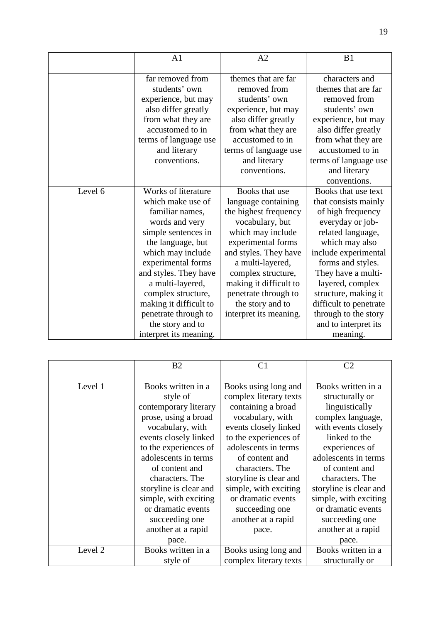|         | A1                         | A2                     | B1                     |
|---------|----------------------------|------------------------|------------------------|
|         |                            |                        |                        |
|         | far removed from           | themes that are far    | characters and         |
|         | students' own              | removed from           | themes that are far    |
|         | experience, but may        | students' own          | removed from           |
|         | also differ greatly        | experience, but may    | students' own          |
|         | from what they are         | also differ greatly    | experience, but may    |
|         | accustomed to in           | from what they are     | also differ greatly    |
|         | terms of language use      | accustomed to in       | from what they are     |
|         | and literary               | terms of language use  | accustomed to in       |
|         | conventions.               | and literary           | terms of language use  |
|         |                            | conventions.           | and literary           |
|         |                            |                        | conventions.           |
| Level 6 | <b>Works of literature</b> | Books that use         | Books that use text    |
|         | which make use of          | language containing    | that consists mainly   |
|         | familiar names,            | the highest frequency  | of high frequency      |
|         | words and very             | vocabulary, but        | everyday or job-       |
|         | simple sentences in        | which may include      | related language,      |
|         | the language, but          | experimental forms     | which may also         |
|         | which may include          | and styles. They have  | include experimental   |
|         | experimental forms         | a multi-layered,       | forms and styles.      |
|         | and styles. They have      | complex structure,     | They have a multi-     |
|         | a multi-layered,           | making it difficult to | layered, complex       |
|         | complex structure,         | penetrate through to   | structure, making it   |
|         | making it difficult to     | the story and to       | difficult to penetrate |
|         | penetrate through to       | interpret its meaning. | through to the story   |
|         | the story and to           |                        | and to interpret its   |
|         | interpret its meaning.     |                        | meaning.               |

|         | B <sub>2</sub>         | C <sub>1</sub>         | C <sub>2</sub>         |
|---------|------------------------|------------------------|------------------------|
|         |                        |                        |                        |
| Level 1 | Books written in a     | Books using long and   | Books written in a     |
|         | style of               | complex literary texts | structurally or        |
|         | contemporary literary  | containing a broad     | linguistically         |
|         | prose, using a broad   | vocabulary, with       | complex language,      |
|         | vocabulary, with       | events closely linked  | with events closely    |
|         | events closely linked  | to the experiences of  | linked to the          |
|         | to the experiences of  | adolescents in terms   | experiences of         |
|         | adolescents in terms   | of content and         | adolescents in terms   |
|         | of content and         | characters. The        | of content and         |
|         | characters. The        | storyline is clear and | characters. The        |
|         | storyline is clear and | simple, with exciting  | storyline is clear and |
|         | simple, with exciting  | or dramatic events     | simple, with exciting  |
|         | or dramatic events     | succeeding one         | or dramatic events     |
|         | succeeding one         | another at a rapid     | succeeding one         |
|         | another at a rapid     | pace.                  | another at a rapid     |
|         | pace.                  |                        | pace.                  |
| Level 2 | Books written in a     | Books using long and   | Books written in a     |
|         | style of               | complex literary texts | structurally or        |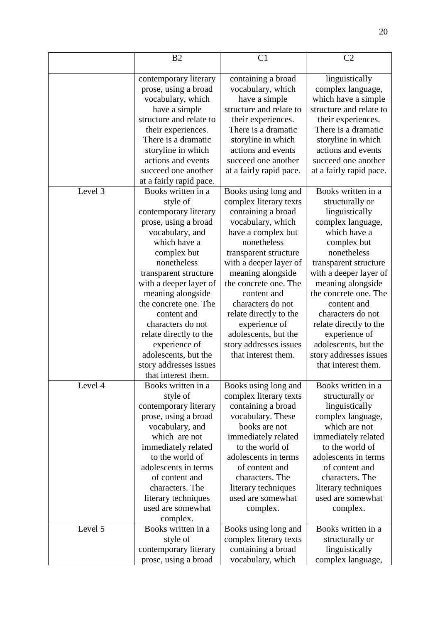|         | B <sub>2</sub>          | C <sub>1</sub>          | C <sub>2</sub>          |
|---------|-------------------------|-------------------------|-------------------------|
|         | contemporary literary   | containing a broad      | linguistically          |
|         | prose, using a broad    | vocabulary, which       | complex language,       |
|         | vocabulary, which       | have a simple           | which have a simple     |
|         | have a simple           | structure and relate to | structure and relate to |
|         | structure and relate to | their experiences.      | their experiences.      |
|         | their experiences.      | There is a dramatic     | There is a dramatic     |
|         | There is a dramatic     | storyline in which      | storyline in which      |
|         | storyline in which      | actions and events      | actions and events      |
|         | actions and events      | succeed one another     | succeed one another     |
|         | succeed one another     | at a fairly rapid pace. | at a fairly rapid pace. |
|         | at a fairly rapid pace. |                         |                         |
| Level 3 | Books written in a      | Books using long and    | Books written in a      |
|         | style of                | complex literary texts  | structurally or         |
|         | contemporary literary   | containing a broad      | linguistically          |
|         | prose, using a broad    | vocabulary, which       | complex language,       |
|         | vocabulary, and         | have a complex but      | which have a            |
|         | which have a            | nonetheless             | complex but             |
|         | complex but             | transparent structure   | nonetheless             |
|         | nonetheless             | with a deeper layer of  | transparent structure   |
|         | transparent structure   | meaning alongside       | with a deeper layer of  |
|         | with a deeper layer of  | the concrete one. The   | meaning alongside       |
|         | meaning alongside       | content and             | the concrete one. The   |
|         | the concrete one. The   | characters do not       | content and             |
|         | content and             | relate directly to the  | characters do not       |
|         | characters do not       | experience of           | relate directly to the  |
|         | relate directly to the  | adolescents, but the    | experience of           |
|         | experience of           | story addresses issues  | adolescents, but the    |
|         | adolescents, but the    | that interest them.     | story addresses issues  |
|         | story addresses issues  |                         | that interest them.     |
|         | that interest them.     |                         |                         |
| Level 4 | Books written in a      | Books using long and    | Books written in a      |
|         | style of                | complex literary texts  | structurally or         |
|         | contemporary literary   | containing a broad      | linguistically          |
|         | prose, using a broad    | vocabulary. These       | complex language,       |
|         | vocabulary, and         | books are not           | which are not           |
|         | which are not           | immediately related     | immediately related     |
|         | immediately related     | to the world of         | to the world of         |
|         | to the world of         | adolescents in terms    | adolescents in terms    |
|         | adolescents in terms    | of content and          | of content and          |
|         | of content and          | characters. The         | characters. The         |
|         | characters. The         | literary techniques     | literary techniques     |
|         | literary techniques     | used are somewhat       | used are somewhat       |
|         | used are somewhat       | complex.                | complex.                |
|         | complex.                |                         |                         |
| Level 5 | Books written in a      | Books using long and    | Books written in a      |
|         | style of                | complex literary texts  | structurally or         |
|         | contemporary literary   | containing a broad      | linguistically          |
|         | prose, using a broad    | vocabulary, which       | complex language,       |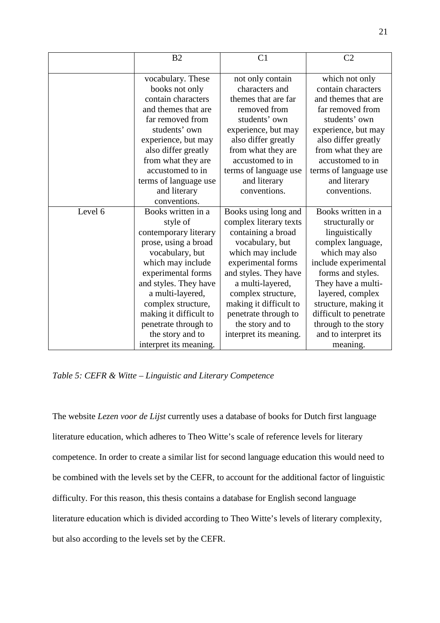|         | B <sub>2</sub>         | C <sub>1</sub>         | C <sub>2</sub>         |
|---------|------------------------|------------------------|------------------------|
|         |                        |                        |                        |
|         | vocabulary. These      | not only contain       | which not only         |
|         | books not only         | characters and         | contain characters     |
|         | contain characters     | themes that are far    | and themes that are    |
|         | and themes that are    | removed from           | far removed from       |
|         | far removed from       | students' own          | students' own          |
|         | students' own          | experience, but may    | experience, but may    |
|         | experience, but may    | also differ greatly    | also differ greatly    |
|         | also differ greatly    | from what they are     | from what they are     |
|         | from what they are     | accustomed to in       | accustomed to in       |
|         | accustomed to in       | terms of language use  | terms of language use  |
|         | terms of language use  | and literary           | and literary           |
|         | and literary           | conventions.           | conventions.           |
|         | conventions.           |                        |                        |
| Level 6 | Books written in a     | Books using long and   | Books written in a     |
|         | style of               | complex literary texts | structurally or        |
|         | contemporary literary  | containing a broad     | linguistically         |
|         | prose, using a broad   | vocabulary, but        | complex language,      |
|         | vocabulary, but        | which may include      | which may also         |
|         | which may include      | experimental forms     | include experimental   |
|         | experimental forms     | and styles. They have  | forms and styles.      |
|         | and styles. They have  | a multi-layered,       | They have a multi-     |
|         | a multi-layered,       | complex structure,     | layered, complex       |
|         | complex structure,     | making it difficult to | structure, making it   |
|         | making it difficult to | penetrate through to   | difficult to penetrate |
|         | penetrate through to   | the story and to       | through to the story   |
|         | the story and to       | interpret its meaning. | and to interpret its   |
|         | interpret its meaning. |                        | meaning.               |

*Table 5: CEFR & Witte – Linguistic and Literary Competence* 

The website *Lezen voor de Lijst* currently uses a database of books for Dutch first language literature education, which adheres to Theo Witte's scale of reference levels for literary competence. In order to create a similar list for second language education this would need to be combined with the levels set by the CEFR, to account for the additional factor of linguistic difficulty. For this reason, this thesis contains a database for English second language literature education which is divided according to Theo Witte's levels of literary complexity, but also according to the levels set by the CEFR.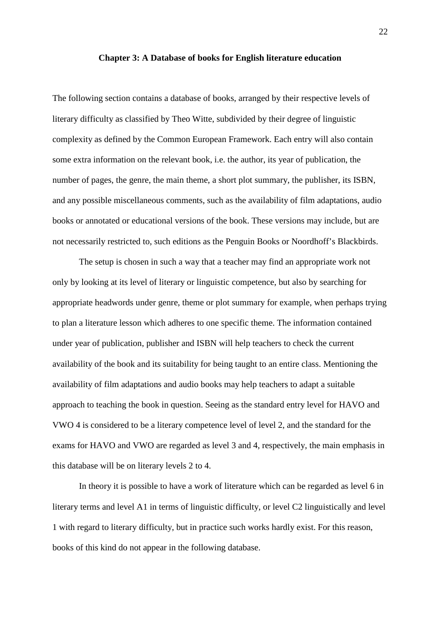#### **Chapter 3: A Database of books for English literature education**

The following section contains a database of books, arranged by their respective levels of literary difficulty as classified by Theo Witte, subdivided by their degree of linguistic complexity as defined by the Common European Framework. Each entry will also contain some extra information on the relevant book, i.e. the author, its year of publication, the number of pages, the genre, the main theme, a short plot summary, the publisher, its ISBN, and any possible miscellaneous comments, such as the availability of film adaptations, audio books or annotated or educational versions of the book. These versions may include, but are not necessarily restricted to, such editions as the Penguin Books or Noordhoff's Blackbirds.

 The setup is chosen in such a way that a teacher may find an appropriate work not only by looking at its level of literary or linguistic competence, but also by searching for appropriate headwords under genre, theme or plot summary for example, when perhaps trying to plan a literature lesson which adheres to one specific theme. The information contained under year of publication, publisher and ISBN will help teachers to check the current availability of the book and its suitability for being taught to an entire class. Mentioning the availability of film adaptations and audio books may help teachers to adapt a suitable approach to teaching the book in question. Seeing as the standard entry level for HAVO and VWO 4 is considered to be a literary competence level of level 2, and the standard for the exams for HAVO and VWO are regarded as level 3 and 4, respectively, the main emphasis in this database will be on literary levels 2 to 4.

 In theory it is possible to have a work of literature which can be regarded as level 6 in literary terms and level A1 in terms of linguistic difficulty, or level C2 linguistically and level 1 with regard to literary difficulty, but in practice such works hardly exist. For this reason, books of this kind do not appear in the following database.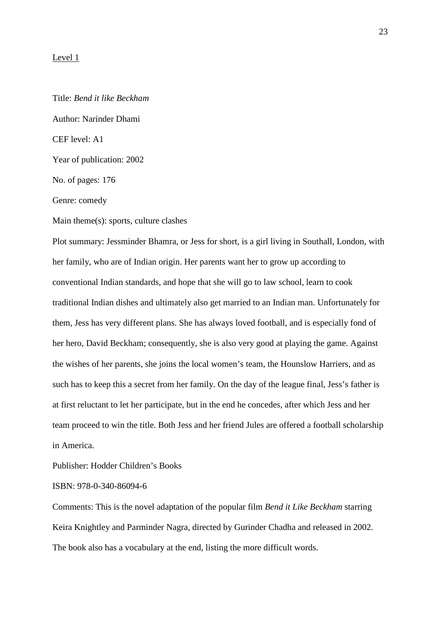#### Level 1

Title: *Bend it like Beckham*  Author: Narinder Dhami CEF level: A1 Year of publication: 2002 No. of pages: 176 Genre: comedy

Main theme(s): sports, culture clashes

Plot summary: Jessminder Bhamra, or Jess for short, is a girl living in Southall, London, with her family, who are of Indian origin. Her parents want her to grow up according to conventional Indian standards, and hope that she will go to law school, learn to cook traditional Indian dishes and ultimately also get married to an Indian man. Unfortunately for them, Jess has very different plans. She has always loved football, and is especially fond of her hero, David Beckham; consequently, she is also very good at playing the game. Against the wishes of her parents, she joins the local women's team, the Hounslow Harriers, and as such has to keep this a secret from her family. On the day of the league final, Jess's father is at first reluctant to let her participate, but in the end he concedes, after which Jess and her team proceed to win the title. Both Jess and her friend Jules are offered a football scholarship in America.

Publisher: Hodder Children's Books

ISBN: 978-0-340-86094-6

Comments: This is the novel adaptation of the popular film *Bend it Like Beckham* starring Keira Knightley and Parminder Nagra, directed by Gurinder Chadha and released in 2002. The book also has a vocabulary at the end, listing the more difficult words.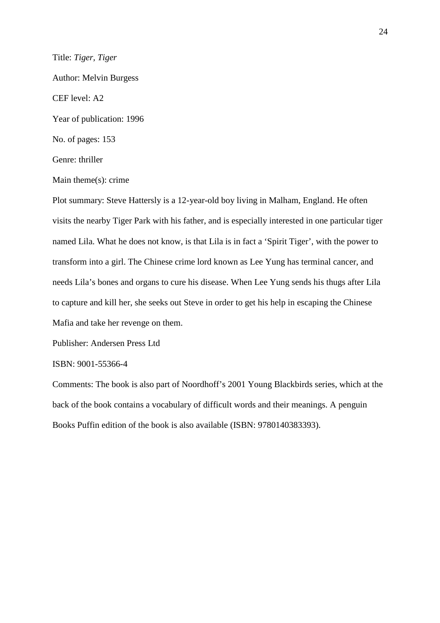Title: *Tiger, Tiger*  Author: Melvin Burgess CEF level: A2 Year of publication: 1996 No. of pages: 153 Genre: thriller

Main theme(s): crime

Plot summary: Steve Hattersly is a 12-year-old boy living in Malham, England. He often visits the nearby Tiger Park with his father, and is especially interested in one particular tiger named Lila. What he does not know, is that Lila is in fact a 'Spirit Tiger', with the power to transform into a girl. The Chinese crime lord known as Lee Yung has terminal cancer, and needs Lila's bones and organs to cure his disease. When Lee Yung sends his thugs after Lila to capture and kill her, she seeks out Steve in order to get his help in escaping the Chinese Mafia and take her revenge on them.

Publisher: Andersen Press Ltd

#### ISBN: 9001-55366-4

Comments: The book is also part of Noordhoff's 2001 Young Blackbirds series, which at the back of the book contains a vocabulary of difficult words and their meanings. A penguin Books Puffin edition of the book is also available (ISBN: 9780140383393).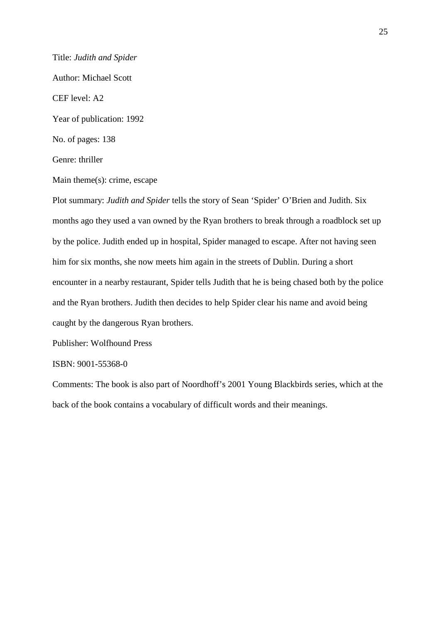Title: *Judith and Spider* Author: Michael Scott CEF level: A2 Year of publication: 1992 No. of pages: 138 Genre: thriller Main theme(s): crime, escape

Plot summary: *Judith and Spider* tells the story of Sean 'Spider' O'Brien and Judith. Six months ago they used a van owned by the Ryan brothers to break through a roadblock set up by the police. Judith ended up in hospital, Spider managed to escape. After not having seen him for six months, she now meets him again in the streets of Dublin. During a short encounter in a nearby restaurant, Spider tells Judith that he is being chased both by the police and the Ryan brothers. Judith then decides to help Spider clear his name and avoid being caught by the dangerous Ryan brothers.

Publisher: Wolfhound Press

ISBN: 9001-55368-0

Comments: The book is also part of Noordhoff's 2001 Young Blackbirds series, which at the back of the book contains a vocabulary of difficult words and their meanings.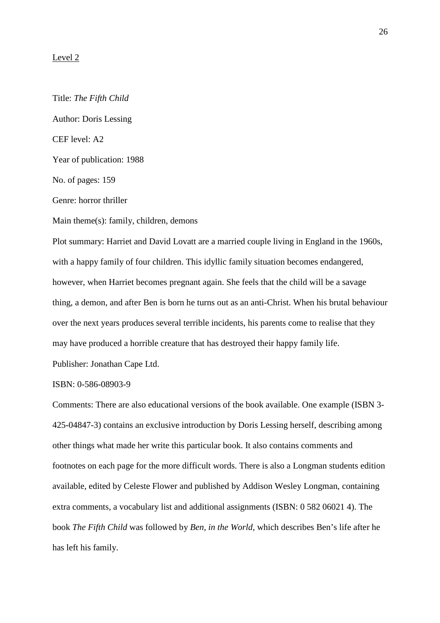#### Level 2

Title: *The Fifth Child*  Author: Doris Lessing CEF level: A2 Year of publication: 1988 No. of pages: 159 Genre: horror thriller Main theme(s): family, children, demons Plot summary: Harriet and David Lovatt are a married couple living in England in the 1960s, with a happy family of four children. This idyllic family situation becomes endangered, however, when Harriet becomes pregnant again. She feels that the child will be a savage thing, a demon, and after Ben is born he turns out as an anti-Christ. When his brutal behaviour over the next years produces several terrible incidents, his parents come to realise that they

may have produced a horrible creature that has destroyed their happy family life.

Publisher: Jonathan Cape Ltd.

ISBN: 0-586-08903-9

Comments: There are also educational versions of the book available. One example (ISBN 3- 425-04847-3) contains an exclusive introduction by Doris Lessing herself, describing among other things what made her write this particular book. It also contains comments and footnotes on each page for the more difficult words. There is also a Longman students edition available, edited by Celeste Flower and published by Addison Wesley Longman, containing extra comments, a vocabulary list and additional assignments (ISBN: 0 582 06021 4). The book *The Fifth Child* was followed by *Ben, in the World*, which describes Ben's life after he has left his family.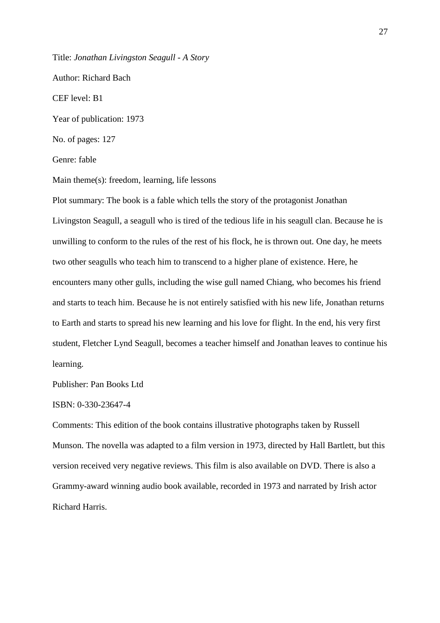Title: *Jonathan Livingston Seagull - A Story* 

Author: Richard Bach

CEF level: B1

Year of publication: 1973

No. of pages: 127

Genre: fable

Main theme(s): freedom, learning, life lessons

Plot summary: The book is a fable which tells the story of the protagonist Jonathan Livingston Seagull, a seagull who is tired of the tedious life in his seagull clan. Because he is unwilling to conform to the rules of the rest of his flock, he is thrown out. One day, he meets two other seagulls who teach him to transcend to a higher plane of existence. Here, he encounters many other gulls, including the wise gull named Chiang, who becomes his friend and starts to teach him. Because he is not entirely satisfied with his new life, Jonathan returns to Earth and starts to spread his new learning and his love for flight. In the end, his very first student, Fletcher Lynd Seagull, becomes a teacher himself and Jonathan leaves to continue his learning.

Publisher: Pan Books Ltd

ISBN: 0-330-23647-4

Comments: This edition of the book contains illustrative photographs taken by Russell Munson. The novella was adapted to a film version in 1973, directed by Hall Bartlett, but this version received very negative reviews. This film is also available on DVD. There is also a Grammy-award winning audio book available, recorded in 1973 and narrated by Irish actor Richard Harris.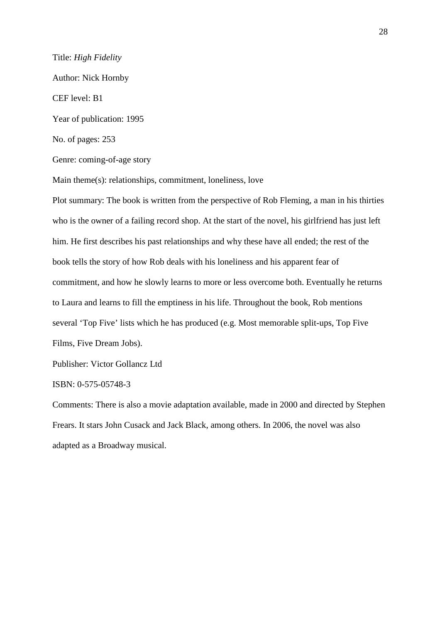Title: *High Fidelity*  Author: Nick Hornby CEF level: B1 Year of publication: 1995 No. of pages: 253 Genre: coming-of-age story Main theme(s): relationships, commitment, loneliness, love

Plot summary: The book is written from the perspective of Rob Fleming, a man in his thirties who is the owner of a failing record shop. At the start of the novel, his girlfriend has just left him. He first describes his past relationships and why these have all ended; the rest of the book tells the story of how Rob deals with his loneliness and his apparent fear of commitment, and how he slowly learns to more or less overcome both. Eventually he returns to Laura and learns to fill the emptiness in his life. Throughout the book, Rob mentions several 'Top Five' lists which he has produced (e.g. Most memorable split-ups, Top Five Films, Five Dream Jobs).

Publisher: Victor Gollancz Ltd

ISBN: 0-575-05748-3

Comments: There is also a movie adaptation available, made in 2000 and directed by Stephen Frears. It stars John Cusack and Jack Black, among others. In 2006, the novel was also adapted as a Broadway musical.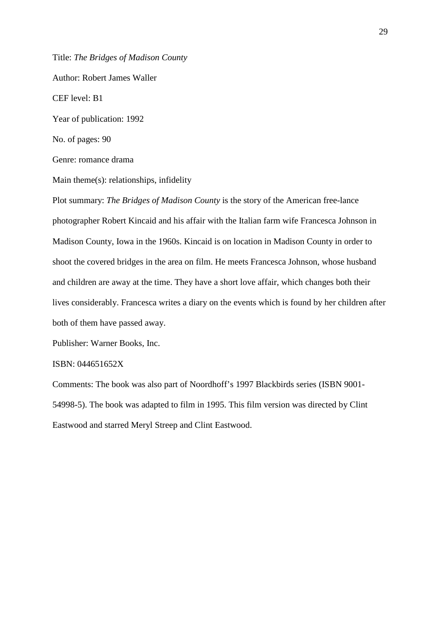Title: *The Bridges of Madison County*

Author: Robert James Waller

CEF level: B1

Year of publication: 1992

No. of pages: 90

Genre: romance drama

Main theme(s): relationships, infidelity

Plot summary: *The Bridges of Madison County* is the story of the American free-lance photographer Robert Kincaid and his affair with the Italian farm wife Francesca Johnson in Madison County, Iowa in the 1960s. Kincaid is on location in Madison County in order to shoot the covered bridges in the area on film. He meets Francesca Johnson, whose husband and children are away at the time. They have a short love affair, which changes both their lives considerably. Francesca writes a diary on the events which is found by her children after both of them have passed away.

Publisher: Warner Books, Inc.

#### ISBN: 044651652X

Comments: The book was also part of Noordhoff's 1997 Blackbirds series (ISBN 9001- 54998-5). The book was adapted to film in 1995. This film version was directed by Clint Eastwood and starred Meryl Streep and Clint Eastwood.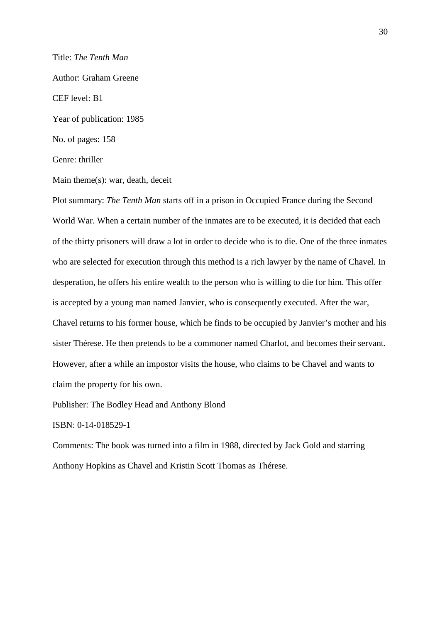Title: *The Tenth Man*

Author: Graham Greene

CEF level: B1

Year of publication: 1985

No. of pages: 158

Genre: thriller

Main theme(s): war, death, deceit

Plot summary: *The Tenth Man* starts off in a prison in Occupied France during the Second World War. When a certain number of the inmates are to be executed, it is decided that each of the thirty prisoners will draw a lot in order to decide who is to die. One of the three inmates who are selected for execution through this method is a rich lawyer by the name of Chavel. In desperation, he offers his entire wealth to the person who is willing to die for him. This offer is accepted by a young man named Janvier, who is consequently executed. After the war, Chavel returns to his former house, which he finds to be occupied by Janvier's mother and his sister Thérese. He then pretends to be a commoner named Charlot, and becomes their servant. However, after a while an impostor visits the house, who claims to be Chavel and wants to claim the property for his own.

Publisher: The Bodley Head and Anthony Blond

ISBN: 0-14-018529-1

Comments: The book was turned into a film in 1988, directed by Jack Gold and starring Anthony Hopkins as Chavel and Kristin Scott Thomas as Thérese.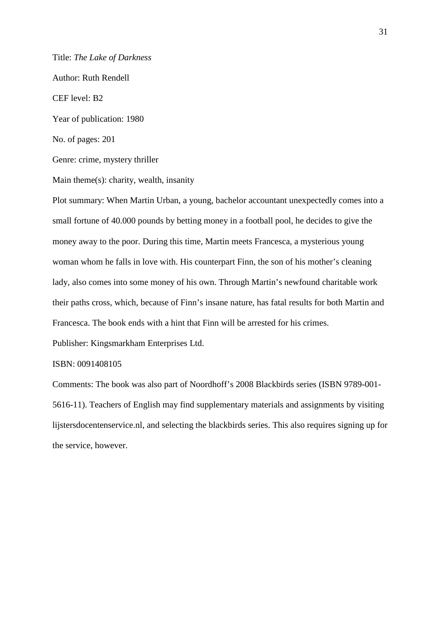Title: *The Lake of Darkness* 

Author: Ruth Rendell

CEF level: B2

Year of publication: 1980

No. of pages: 201

Genre: crime, mystery thriller

Main theme(s): charity, wealth, insanity

Plot summary: When Martin Urban, a young, bachelor accountant unexpectedly comes into a small fortune of 40.000 pounds by betting money in a football pool, he decides to give the money away to the poor. During this time, Martin meets Francesca, a mysterious young woman whom he falls in love with. His counterpart Finn, the son of his mother's cleaning lady, also comes into some money of his own. Through Martin's newfound charitable work their paths cross, which, because of Finn's insane nature, has fatal results for both Martin and Francesca. The book ends with a hint that Finn will be arrested for his crimes.

Publisher: Kingsmarkham Enterprises Ltd.

#### ISBN: 0091408105

Comments: The book was also part of Noordhoff's 2008 Blackbirds series (ISBN 9789-001- 5616-11). Teachers of English may find supplementary materials and assignments by visiting lijstersdocentenservice.nl, and selecting the blackbirds series. This also requires signing up for the service, however.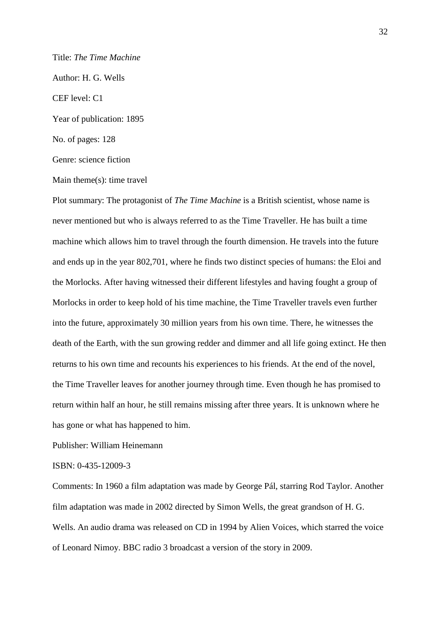# Title: *The Time Machine*

Author: H. G. Wells

CEF level: C1

Year of publication: 1895

No. of pages: 128

Genre: science fiction

Main theme(s): time travel

Plot summary: The protagonist of *The Time Machine* is a British scientist, whose name is never mentioned but who is always referred to as the Time Traveller. He has built a time machine which allows him to travel through the fourth dimension. He travels into the future and ends up in the year 802,701, where he finds two distinct species of humans: the Eloi and the Morlocks. After having witnessed their different lifestyles and having fought a group of Morlocks in order to keep hold of his time machine, the Time Traveller travels even further into the future, approximately 30 million years from his own time. There, he witnesses the death of the Earth, with the sun growing redder and dimmer and all life going extinct. He then returns to his own time and recounts his experiences to his friends. At the end of the novel, the Time Traveller leaves for another journey through time. Even though he has promised to return within half an hour, he still remains missing after three years. It is unknown where he has gone or what has happened to him.

Publisher: William Heinemann

## ISBN: 0-435-12009-3

Comments: In 1960 a film adaptation was made by George Pál, starring Rod Taylor. Another film adaptation was made in 2002 directed by Simon Wells, the great grandson of H. G. Wells. An audio drama was released on CD in 1994 by Alien Voices, which starred the voice of Leonard Nimoy. BBC radio 3 broadcast a version of the story in 2009.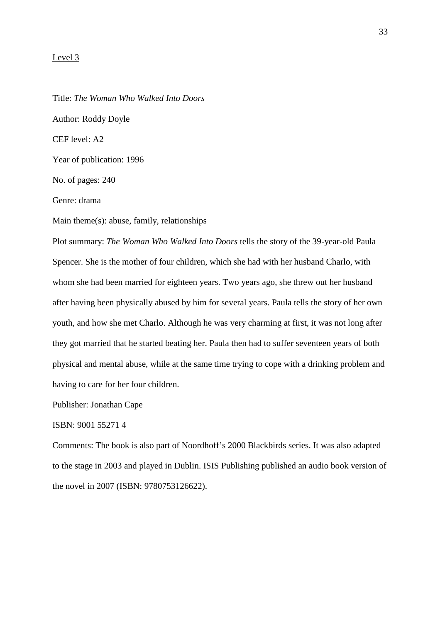#### Level 3

Title: *The Woman Who Walked Into Doors* Author: Roddy Doyle CEF level: A2 Year of publication: 1996 No. of pages: 240 Genre: drama Main theme(s): abuse, family, relationships Plot summary: *The Woman Who Walked Into Doors* tells the story of the 39-year-old Paula Spencer. She is the mother of four children, which she had with her husband Charlo, with

whom she had been married for eighteen years. Two years ago, she threw out her husband after having been physically abused by him for several years. Paula tells the story of her own youth, and how she met Charlo. Although he was very charming at first, it was not long after they got married that he started beating her. Paula then had to suffer seventeen years of both physical and mental abuse, while at the same time trying to cope with a drinking problem and having to care for her four children.

Publisher: Jonathan Cape

# ISBN: 9001 55271 4

Comments: The book is also part of Noordhoff's 2000 Blackbirds series. It was also adapted to the stage in 2003 and played in Dublin. ISIS Publishing published an audio book version of the novel in 2007 (ISBN: 9780753126622).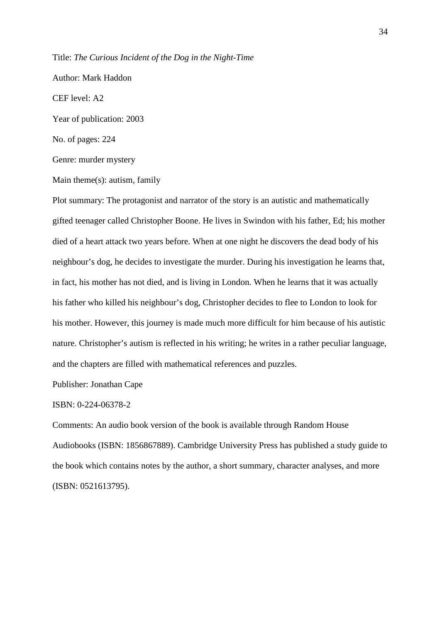Title: *The Curious Incident of the Dog in the Night-Time*

Author: Mark Haddon CEF level: A2

Year of publication: 2003

No. of pages: 224

Genre: murder mystery

Main theme(s): autism, family

Plot summary: The protagonist and narrator of the story is an autistic and mathematically gifted teenager called Christopher Boone. He lives in Swindon with his father, Ed; his mother died of a heart attack two years before. When at one night he discovers the dead body of his neighbour's dog, he decides to investigate the murder. During his investigation he learns that, in fact, his mother has not died, and is living in London. When he learns that it was actually his father who killed his neighbour's dog, Christopher decides to flee to London to look for his mother. However, this journey is made much more difficult for him because of his autistic nature. Christopher's autism is reflected in his writing; he writes in a rather peculiar language, and the chapters are filled with mathematical references and puzzles.

Publisher: Jonathan Cape

# ISBN: 0-224-06378-2

Comments: An audio book version of the book is available through Random House Audiobooks (ISBN: 1856867889). Cambridge University Press has published a study guide to the book which contains notes by the author, a short summary, character analyses, and more (ISBN: 0521613795).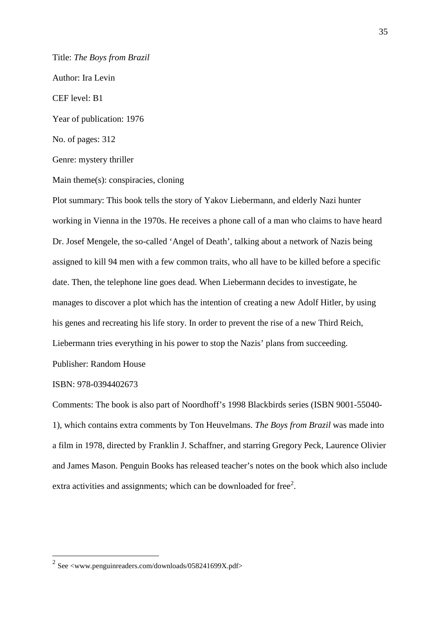Title: *The Boys from Brazil* Author: Ira Levin CEF level: B1 Year of publication: 1976 No. of pages: 312 Genre: mystery thriller

Main theme(s): conspiracies, cloning

Plot summary: This book tells the story of Yakov Liebermann, and elderly Nazi hunter working in Vienna in the 1970s. He receives a phone call of a man who claims to have heard Dr. Josef Mengele, the so-called 'Angel of Death', talking about a network of Nazis being assigned to kill 94 men with a few common traits, who all have to be killed before a specific date. Then, the telephone line goes dead. When Liebermann decides to investigate, he manages to discover a plot which has the intention of creating a new Adolf Hitler, by using his genes and recreating his life story. In order to prevent the rise of a new Third Reich, Liebermann tries everything in his power to stop the Nazis' plans from succeeding. Publisher: Random House

## ISBN: 978-0394402673

Comments: The book is also part of Noordhoff's 1998 Blackbirds series (ISBN 9001-55040- 1), which contains extra comments by Ton Heuvelmans. *The Boys from Brazil* was made into a film in 1978, directed by Franklin J. Schaffner, and starring Gregory Peck, Laurence Olivier and James Mason. Penguin Books has released teacher's notes on the book which also include extra activities and assignments; which can be downloaded for free $2$ .

 2 See <www.penguinreaders.com/downloads/058241699X.pdf>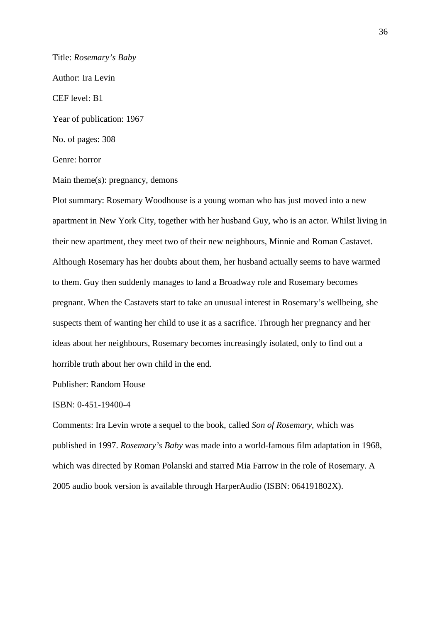Title: *Rosemary's Baby* Author: Ira Levin CEF level: B1 Year of publication: 1967 No. of pages: 308 Genre: horror

Main theme(s): pregnancy, demons

Plot summary: Rosemary Woodhouse is a young woman who has just moved into a new apartment in New York City, together with her husband Guy, who is an actor. Whilst living in their new apartment, they meet two of their new neighbours, Minnie and Roman Castavet. Although Rosemary has her doubts about them, her husband actually seems to have warmed to them. Guy then suddenly manages to land a Broadway role and Rosemary becomes pregnant. When the Castavets start to take an unusual interest in Rosemary's wellbeing, she suspects them of wanting her child to use it as a sacrifice. Through her pregnancy and her ideas about her neighbours, Rosemary becomes increasingly isolated, only to find out a horrible truth about her own child in the end.

Publisher: Random House

#### ISBN: 0-451-19400-4

Comments: Ira Levin wrote a sequel to the book, called *Son of Rosemary*, which was published in 1997. *Rosemary's Baby* was made into a world-famous film adaptation in 1968, which was directed by Roman Polanski and starred Mia Farrow in the role of Rosemary. A 2005 audio book version is available through HarperAudio (ISBN: 064191802X).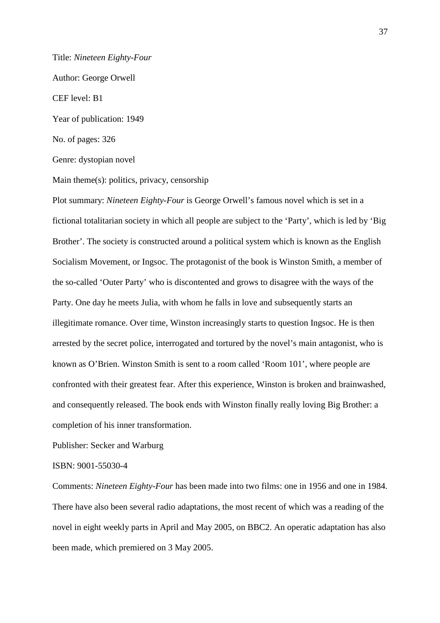Title: *Nineteen Eighty-Four*  Author: George Orwell CEF level: B1 Year of publication: 1949 No. of pages: 326 Genre: dystopian novel

Main theme(s): politics, privacy, censorship

Plot summary: *Nineteen Eighty-Four* is George Orwell's famous novel which is set in a fictional totalitarian society in which all people are subject to the 'Party', which is led by 'Big Brother'. The society is constructed around a political system which is known as the English Socialism Movement, or Ingsoc. The protagonist of the book is Winston Smith, a member of the so-called 'Outer Party' who is discontented and grows to disagree with the ways of the Party. One day he meets Julia, with whom he falls in love and subsequently starts an illegitimate romance. Over time, Winston increasingly starts to question Ingsoc. He is then arrested by the secret police, interrogated and tortured by the novel's main antagonist, who is known as O'Brien. Winston Smith is sent to a room called 'Room 101', where people are confronted with their greatest fear. After this experience, Winston is broken and brainwashed, and consequently released. The book ends with Winston finally really loving Big Brother: a completion of his inner transformation.

Publisher: Secker and Warburg

ISBN: 9001-55030-4

Comments: *Nineteen Eighty-Four* has been made into two films: one in 1956 and one in 1984. There have also been several radio adaptations, the most recent of which was a reading of the novel in eight weekly parts in April and May 2005, on BBC2. An operatic adaptation has also been made, which premiered on 3 May 2005.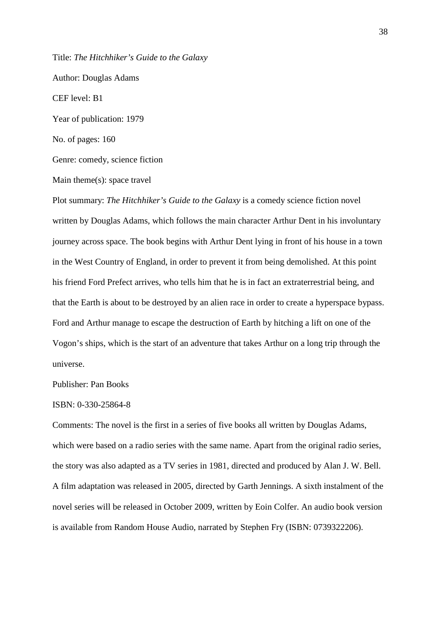Title: *The Hitchhiker's Guide to the Galaxy*

Author: Douglas Adams CEF level: B1 Year of publication: 1979 No. of pages: 160 Genre: comedy, science fiction Main theme(s): space travel Plot summary: *The Hitchhiker's Guide to the Galaxy* is a comedy science fiction novel

written by Douglas Adams, which follows the main character Arthur Dent in his involuntary journey across space. The book begins with Arthur Dent lying in front of his house in a town in the West Country of England, in order to prevent it from being demolished. At this point his friend Ford Prefect arrives, who tells him that he is in fact an extraterrestrial being, and that the Earth is about to be destroyed by an alien race in order to create a hyperspace bypass. Ford and Arthur manage to escape the destruction of Earth by hitching a lift on one of the Vogon's ships, which is the start of an adventure that takes Arthur on a long trip through the universe.

### Publisher: Pan Books

#### ISBN: 0-330-25864-8

Comments: The novel is the first in a series of five books all written by Douglas Adams, which were based on a radio series with the same name. Apart from the original radio series, the story was also adapted as a TV series in 1981, directed and produced by Alan J. W. Bell. A film adaptation was released in 2005, directed by Garth Jennings. A sixth instalment of the novel series will be released in October 2009, written by Eoin Colfer. An audio book version is available from Random House Audio, narrated by Stephen Fry (ISBN: 0739322206).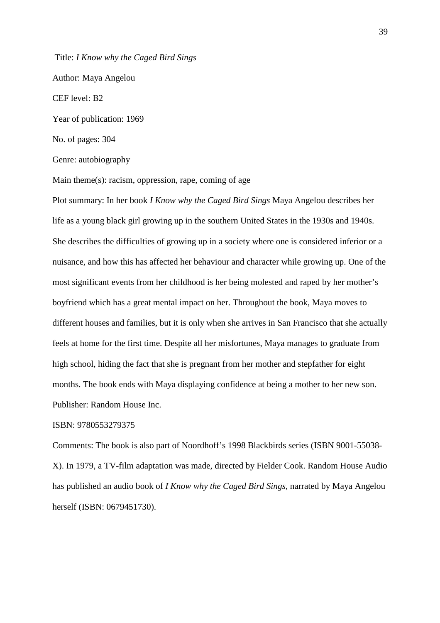Title: *I Know why the Caged Bird Sings* Author: Maya Angelou CEF level: B2 Year of publication: 1969 No. of pages: 304 Genre: autobiography

Main theme(s): racism, oppression, rape, coming of age

Plot summary: In her book *I Know why the Caged Bird Sings* Maya Angelou describes her life as a young black girl growing up in the southern United States in the 1930s and 1940s. She describes the difficulties of growing up in a society where one is considered inferior or a nuisance, and how this has affected her behaviour and character while growing up. One of the most significant events from her childhood is her being molested and raped by her mother's boyfriend which has a great mental impact on her. Throughout the book, Maya moves to different houses and families, but it is only when she arrives in San Francisco that she actually feels at home for the first time. Despite all her misfortunes, Maya manages to graduate from high school, hiding the fact that she is pregnant from her mother and stepfather for eight months. The book ends with Maya displaying confidence at being a mother to her new son. Publisher: Random House Inc.

### ISBN: 9780553279375

Comments: The book is also part of Noordhoff's 1998 Blackbirds series (ISBN 9001-55038- X). In 1979, a TV-film adaptation was made, directed by Fielder Cook. Random House Audio has published an audio book of *I Know why the Caged Bird Sings*, narrated by Maya Angelou herself (ISBN: 0679451730).

39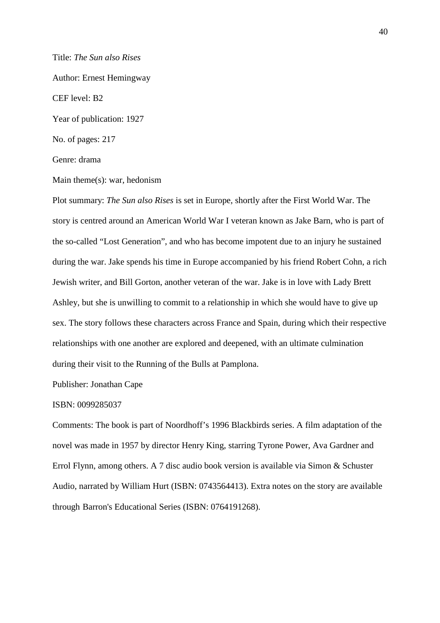Title: *The Sun also Rises* Author: Ernest Hemingway CEF level: B2 Year of publication: 1927 No. of pages: 217 Genre: drama

Main theme(s): war, hedonism

Plot summary: *The Sun also Rises* is set in Europe, shortly after the First World War. The story is centred around an American World War I veteran known as Jake Barn, who is part of the so-called "Lost Generation", and who has become impotent due to an injury he sustained during the war. Jake spends his time in Europe accompanied by his friend Robert Cohn, a rich Jewish writer, and Bill Gorton, another veteran of the war. Jake is in love with Lady Brett Ashley, but she is unwilling to commit to a relationship in which she would have to give up sex. The story follows these characters across France and Spain, during which their respective relationships with one another are explored and deepened, with an ultimate culmination during their visit to the Running of the Bulls at Pamplona.

Publisher: Jonathan Cape

#### ISBN: 0099285037

Comments: The book is part of Noordhoff's 1996 Blackbirds series. A film adaptation of the novel was made in 1957 by director Henry King, starring Tyrone Power, Ava Gardner and Errol Flynn, among others. A 7 disc audio book version is available via Simon & Schuster Audio, narrated by William Hurt (ISBN: 0743564413). Extra notes on the story are available through Barron's Educational Series (ISBN: 0764191268).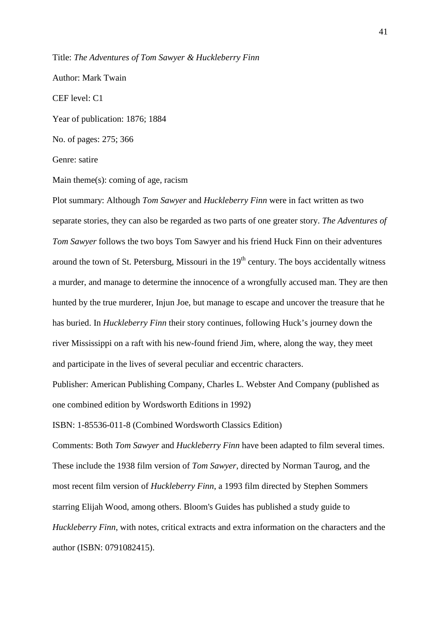Title: *The Adventures of Tom Sawyer & Huckleberry Finn*

Author: Mark Twain

CEF level: C1

Year of publication: 1876; 1884

No. of pages: 275; 366

Genre: satire

Main theme(s): coming of age, racism

Plot summary: Although *Tom Sawyer* and *Huckleberry Finn* were in fact written as two separate stories, they can also be regarded as two parts of one greater story. *The Adventures of Tom Sawyer* follows the two boys Tom Sawyer and his friend Huck Finn on their adventures around the town of St. Petersburg, Missouri in the  $19<sup>th</sup>$  century. The boys accidentally witness a murder, and manage to determine the innocence of a wrongfully accused man. They are then hunted by the true murderer, Injun Joe, but manage to escape and uncover the treasure that he has buried. In *Huckleberry Finn* their story continues, following Huck's journey down the river Mississippi on a raft with his new-found friend Jim, where, along the way, they meet and participate in the lives of several peculiar and eccentric characters.

Publisher: American Publishing Company, Charles L. Webster And Company (published as one combined edition by Wordsworth Editions in 1992)

ISBN: 1-85536-011-8 (Combined Wordsworth Classics Edition)

Comments: Both *Tom Sawyer* and *Huckleberry Finn* have been adapted to film several times. These include the 1938 film version of *Tom Sawyer*, directed by Norman Taurog, and the most recent film version of *Huckleberry Finn*, a 1993 film directed by Stephen Sommers starring Elijah Wood, among others. Bloom's Guides has published a study guide to *Huckleberry Finn*, with notes, critical extracts and extra information on the characters and the author (ISBN: 0791082415).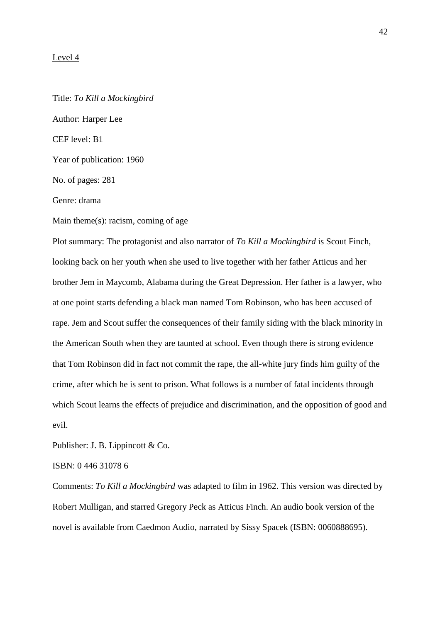#### Level 4

Title: *To Kill a Mockingbird* Author: Harper Lee CEF level: B1 Year of publication: 1960 No. of pages: 281 Genre: drama Main theme(s): racism, coming of age

Plot summary: The protagonist and also narrator of *To Kill a Mockingbird* is Scout Finch, looking back on her youth when she used to live together with her father Atticus and her brother Jem in Maycomb, Alabama during the Great Depression. Her father is a lawyer, who at one point starts defending a black man named Tom Robinson, who has been accused of rape. Jem and Scout suffer the consequences of their family siding with the black minority in the American South when they are taunted at school. Even though there is strong evidence that Tom Robinson did in fact not commit the rape, the all-white jury finds him guilty of the crime, after which he is sent to prison. What follows is a number of fatal incidents through which Scout learns the effects of prejudice and discrimination, and the opposition of good and evil.

Publisher: J. B. Lippincott & Co.

ISBN: 0 446 31078 6

Comments: *To Kill a Mockingbird* was adapted to film in 1962. This version was directed by Robert Mulligan, and starred Gregory Peck as Atticus Finch. An audio book version of the novel is available from Caedmon Audio, narrated by Sissy Spacek (ISBN: 0060888695).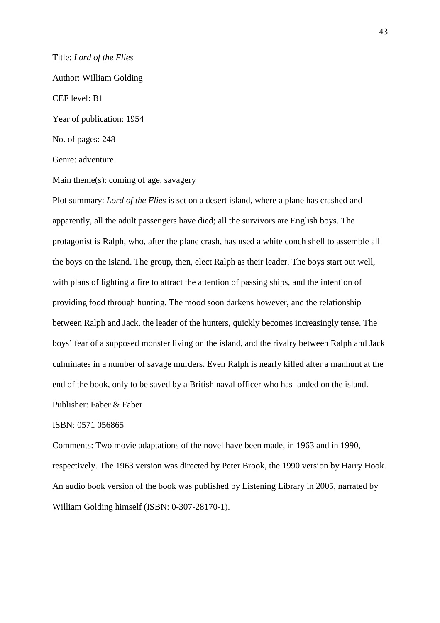#### Title: *Lord of the Flies*

Author: William Golding

#### CEF level: B1

Year of publication: 1954

No. of pages: 248

Genre: adventure

Main theme(s): coming of age, savagery

Plot summary: *Lord of the Flies* is set on a desert island, where a plane has crashed and apparently, all the adult passengers have died; all the survivors are English boys. The protagonist is Ralph, who, after the plane crash, has used a white conch shell to assemble all the boys on the island. The group, then, elect Ralph as their leader. The boys start out well, with plans of lighting a fire to attract the attention of passing ships, and the intention of providing food through hunting. The mood soon darkens however, and the relationship between Ralph and Jack, the leader of the hunters, quickly becomes increasingly tense. The boys' fear of a supposed monster living on the island, and the rivalry between Ralph and Jack culminates in a number of savage murders. Even Ralph is nearly killed after a manhunt at the end of the book, only to be saved by a British naval officer who has landed on the island. Publisher: Faber & Faber

### ISBN: 0571 056865

Comments: Two movie adaptations of the novel have been made, in 1963 and in 1990, respectively. The 1963 version was directed by Peter Brook, the 1990 version by Harry Hook. An audio book version of the book was published by Listening Library in 2005, narrated by William Golding himself (ISBN: 0-307-28170-1).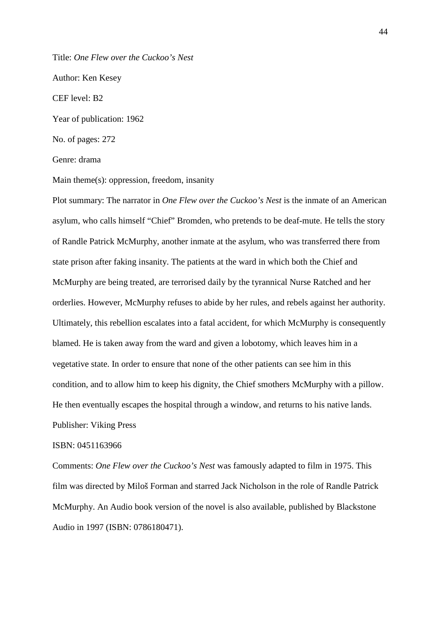Title: *One Flew over the Cuckoo's Nest*

Author: Ken Kesey

CEF level: B2

Year of publication: 1962

No. of pages: 272

Genre: drama

Main theme(s): oppression, freedom, insanity

Plot summary: The narrator in *One Flew over the Cuckoo's Nest* is the inmate of an American asylum, who calls himself "Chief" Bromden, who pretends to be deaf-mute. He tells the story of Randle Patrick McMurphy, another inmate at the asylum, who was transferred there from state prison after faking insanity. The patients at the ward in which both the Chief and McMurphy are being treated, are terrorised daily by the tyrannical Nurse Ratched and her orderlies. However, McMurphy refuses to abide by her rules, and rebels against her authority. Ultimately, this rebellion escalates into a fatal accident, for which McMurphy is consequently blamed. He is taken away from the ward and given a lobotomy, which leaves him in a vegetative state. In order to ensure that none of the other patients can see him in this condition, and to allow him to keep his dignity, the Chief smothers McMurphy with a pillow. He then eventually escapes the hospital through a window, and returns to his native lands. Publisher: Viking Press

#### ISBN: 0451163966

Comments: *One Flew over the Cuckoo's Nest* was famously adapted to film in 1975. This film was directed by Miloš Forman and starred Jack Nicholson in the role of Randle Patrick McMurphy. An Audio book version of the novel is also available, published by Blackstone Audio in 1997 (ISBN: 0786180471).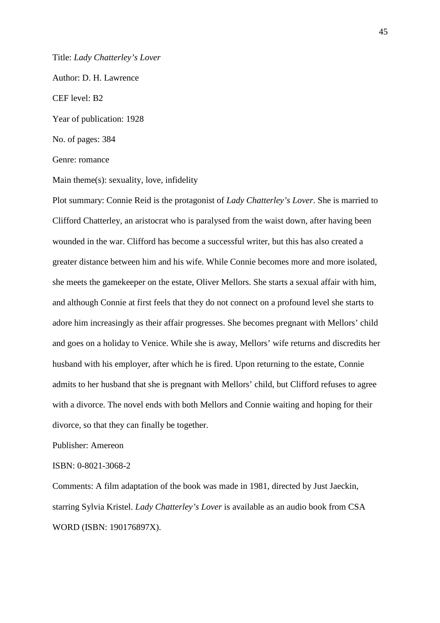Title: *Lady Chatterley's Lover*

Author: D. H. Lawrence CEF level: B2 Year of publication: 1928

No. of pages: 384

Genre: romance

Main theme(s): sexuality, love, infidelity

Plot summary: Connie Reid is the protagonist of *Lady Chatterley's Lover*. She is married to Clifford Chatterley, an aristocrat who is paralysed from the waist down, after having been wounded in the war. Clifford has become a successful writer, but this has also created a greater distance between him and his wife. While Connie becomes more and more isolated, she meets the gamekeeper on the estate, Oliver Mellors. She starts a sexual affair with him, and although Connie at first feels that they do not connect on a profound level she starts to adore him increasingly as their affair progresses. She becomes pregnant with Mellors' child and goes on a holiday to Venice. While she is away, Mellors' wife returns and discredits her husband with his employer, after which he is fired. Upon returning to the estate, Connie admits to her husband that she is pregnant with Mellors' child, but Clifford refuses to agree with a divorce. The novel ends with both Mellors and Connie waiting and hoping for their divorce, so that they can finally be together.

Publisher: Amereon

### ISBN: 0-8021-3068-2

Comments: A film adaptation of the book was made in 1981, directed by Just Jaeckin, starring Sylvia Kristel. *Lady Chatterley's Lover* is available as an audio book from CSA WORD (ISBN: 190176897X).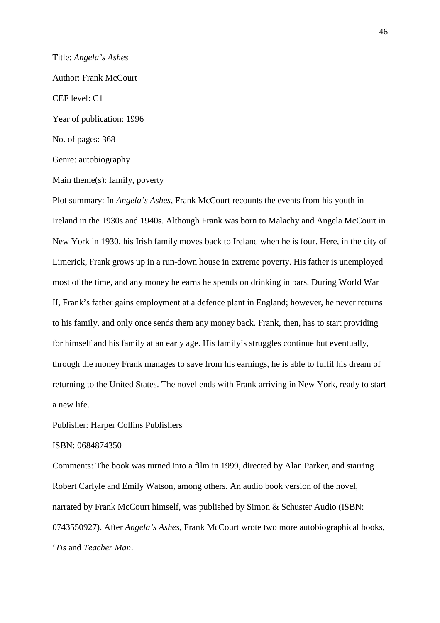Title: *Angela's Ashes* Author: Frank McCourt CEF level: C1 Year of publication: 1996 No. of pages: 368 Genre: autobiography

Main theme(s): family, poverty

Plot summary: In *Angela's Ashes*, Frank McCourt recounts the events from his youth in Ireland in the 1930s and 1940s. Although Frank was born to Malachy and Angela McCourt in New York in 1930, his Irish family moves back to Ireland when he is four. Here, in the city of Limerick, Frank grows up in a run-down house in extreme poverty. His father is unemployed most of the time, and any money he earns he spends on drinking in bars. During World War II, Frank's father gains employment at a defence plant in England; however, he never returns to his family, and only once sends them any money back. Frank, then, has to start providing for himself and his family at an early age. His family's struggles continue but eventually, through the money Frank manages to save from his earnings, he is able to fulfil his dream of returning to the United States. The novel ends with Frank arriving in New York, ready to start a new life.

Publisher: Harper Collins Publishers

### ISBN: 0684874350

Comments: The book was turned into a film in 1999, directed by Alan Parker, and starring Robert Carlyle and Emily Watson, among others. An audio book version of the novel, narrated by Frank McCourt himself, was published by Simon & Schuster Audio (ISBN: 0743550927). After *Angela's Ashes*, Frank McCourt wrote two more autobiographical books, '*Tis* and *Teacher Man*.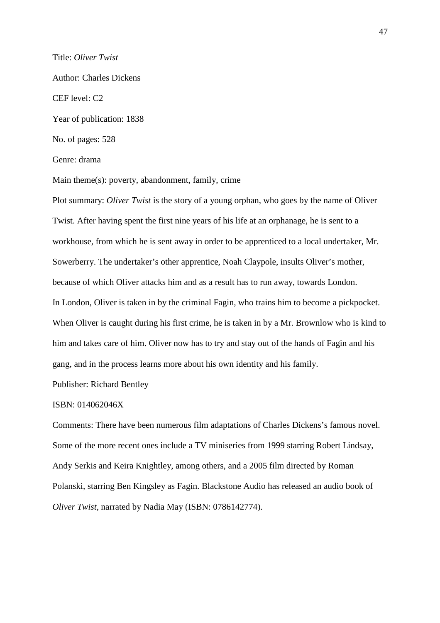Title: *Oliver Twist* Author: Charles Dickens CEF level: C2 Year of publication: 1838 No. of pages: 528 Genre: drama

Main theme(s): poverty, abandonment, family, crime

Plot summary: *Oliver Twist* is the story of a young orphan, who goes by the name of Oliver Twist. After having spent the first nine years of his life at an orphanage, he is sent to a workhouse, from which he is sent away in order to be apprenticed to a local undertaker, Mr. Sowerberry. The undertaker's other apprentice, Noah Claypole, insults Oliver's mother, because of which Oliver attacks him and as a result has to run away, towards London. In London, Oliver is taken in by the criminal Fagin, who trains him to become a pickpocket. When Oliver is caught during his first crime, he is taken in by a Mr. Brownlow who is kind to him and takes care of him. Oliver now has to try and stay out of the hands of Fagin and his gang, and in the process learns more about his own identity and his family.

Publisher: Richard Bentley

### ISBN: 014062046X

Comments: There have been numerous film adaptations of Charles Dickens's famous novel. Some of the more recent ones include a TV miniseries from 1999 starring Robert Lindsay, Andy Serkis and Keira Knightley, among others, and a 2005 film directed by Roman Polanski, starring Ben Kingsley as Fagin. Blackstone Audio has released an audio book of *Oliver Twist*, narrated by Nadia May (ISBN: 0786142774).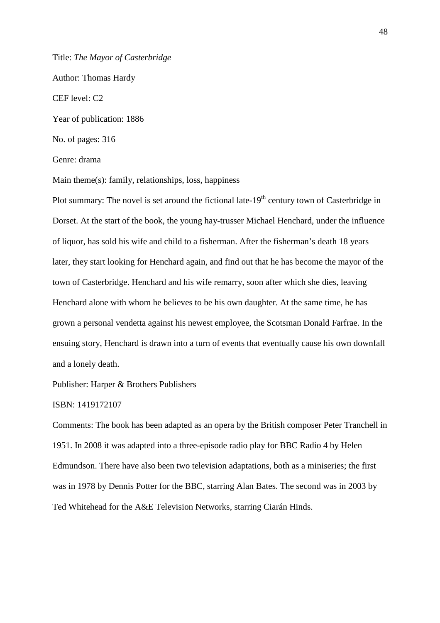Title: *The Mayor of Casterbridge*

Author: Thomas Hardy

CEF level: C2

Year of publication: 1886

No. of pages: 316

Genre: drama

Main theme(s): family, relationships, loss, happiness

Plot summary: The novel is set around the fictional late- $19<sup>th</sup>$  century town of Casterbridge in Dorset. At the start of the book, the young hay-trusser Michael Henchard, under the influence of liquor, has sold his wife and child to a fisherman. After the fisherman's death 18 years later, they start looking for Henchard again, and find out that he has become the mayor of the town of Casterbridge. Henchard and his wife remarry, soon after which she dies, leaving Henchard alone with whom he believes to be his own daughter. At the same time, he has grown a personal vendetta against his newest employee, the Scotsman Donald Farfrae. In the ensuing story, Henchard is drawn into a turn of events that eventually cause his own downfall and a lonely death.

Publisher: Harper & Brothers Publishers

### ISBN: 1419172107

Comments: The book has been adapted as an opera by the British composer Peter Tranchell in 1951. In 2008 it was adapted into a three-episode radio play for BBC Radio 4 by Helen Edmundson. There have also been two television adaptations, both as a miniseries; the first was in 1978 by Dennis Potter for the BBC, starring Alan Bates. The second was in 2003 by Ted Whitehead for the A&E Television Networks, starring Ciarán Hinds.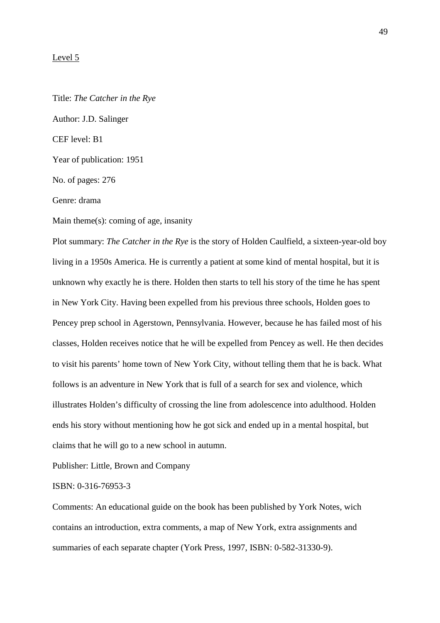#### Level 5

Title: *The Catcher in the Rye* Author: J.D. Salinger CEF level: B1 Year of publication: 1951 No. of pages: 276 Genre: drama

Main theme(s): coming of age, insanity

Plot summary: *The Catcher in the Rye* is the story of Holden Caulfield, a sixteen-year-old boy living in a 1950s America. He is currently a patient at some kind of mental hospital, but it is unknown why exactly he is there. Holden then starts to tell his story of the time he has spent in New York City. Having been expelled from his previous three schools, Holden goes to Pencey prep school in Agerstown, Pennsylvania. However, because he has failed most of his classes, Holden receives notice that he will be expelled from Pencey as well. He then decides to visit his parents' home town of New York City, without telling them that he is back. What follows is an adventure in New York that is full of a search for sex and violence, which illustrates Holden's difficulty of crossing the line from adolescence into adulthood. Holden ends his story without mentioning how he got sick and ended up in a mental hospital, but claims that he will go to a new school in autumn.

Publisher: Little, Brown and Company

ISBN: 0-316-76953-3

Comments: An educational guide on the book has been published by York Notes, wich contains an introduction, extra comments, a map of New York, extra assignments and summaries of each separate chapter (York Press, 1997, ISBN: 0-582-31330-9).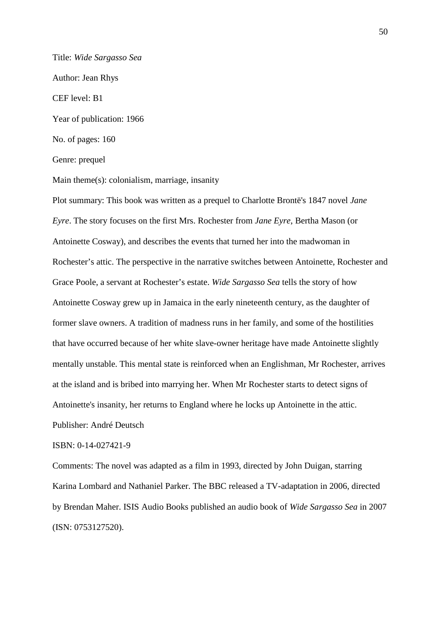Title: *Wide Sargasso Sea* Author: Jean Rhys CEF level: B1 Year of publication: 1966 No. of pages: 160 Genre: prequel

Main theme(s): colonialism, marriage, insanity

Plot summary: This book was written as a prequel to Charlotte Brontë's 1847 novel *Jane Eyre*. The story focuses on the first Mrs. Rochester from *Jane Eyre*, Bertha Mason (or Antoinette Cosway), and describes the events that turned her into the madwoman in Rochester's attic. The perspective in the narrative switches between Antoinette, Rochester and Grace Poole, a servant at Rochester's estate. *Wide Sargasso Sea* tells the story of how Antoinette Cosway grew up in Jamaica in the early nineteenth century, as the daughter of former slave owners. A tradition of madness runs in her family, and some of the hostilities that have occurred because of her white slave-owner heritage have made Antoinette slightly mentally unstable. This mental state is reinforced when an Englishman, Mr Rochester, arrives at the island and is bribed into marrying her. When Mr Rochester starts to detect signs of Antoinette's insanity, her returns to England where he locks up Antoinette in the attic.

Publisher: André Deutsch

ISBN: 0-14-027421-9

Comments: The novel was adapted as a film in 1993, directed by John Duigan, starring Karina Lombard and Nathaniel Parker. The BBC released a TV-adaptation in 2006, directed by Brendan Maher. ISIS Audio Books published an audio book of *Wide Sargasso Sea* in 2007 (ISN: 0753127520).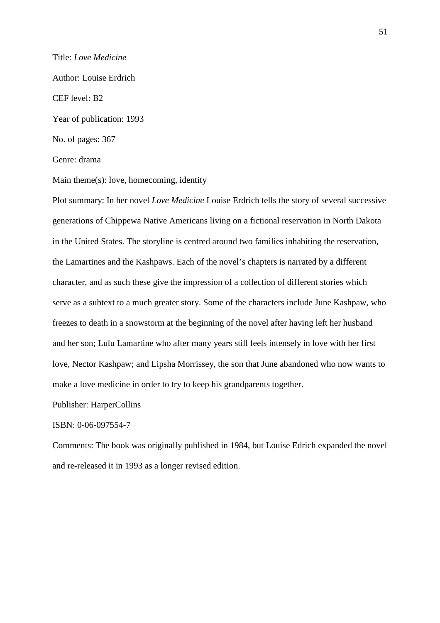### Title: *Love Medicine*

Author: Louise Erdrich

#### CEF level: B2

Year of publication: 1993

No. of pages: 367

Genre: drama

Main theme(s): love, homecoming, identity

Plot summary: In her novel *Love Medicine* Louise Erdrich tells the story of several successive generations of Chippewa Native Americans living on a fictional reservation in North Dakota in the United States. The storyline is centred around two families inhabiting the reservation, the Lamartines and the Kashpaws. Each of the novel's chapters is narrated by a different character, and as such these give the impression of a collection of different stories which serve as a subtext to a much greater story. Some of the characters include June Kashpaw, who freezes to death in a snowstorm at the beginning of the novel after having left her husband and her son; Lulu Lamartine who after many years still feels intensely in love with her first love, Nector Kashpaw; and Lipsha Morrissey, the son that June abandoned who now wants to make a love medicine in order to try to keep his grandparents together.

Publisher: HarperCollins

### ISBN: 0-06-097554-7

Comments: The book was originally published in 1984, but Louise Edrich expanded the novel and re-released it in 1993 as a longer revised edition.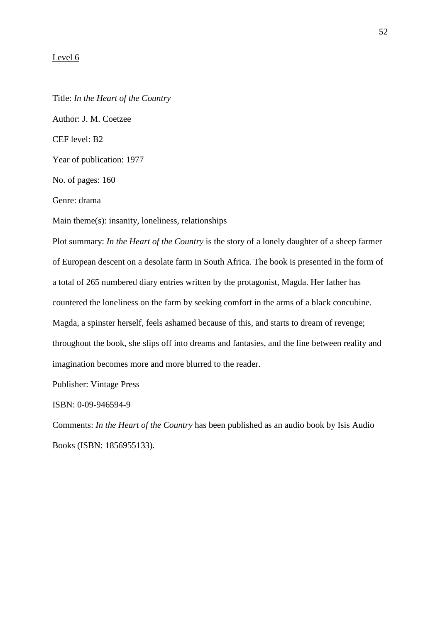### Level 6

Title: *In the Heart of the Country* Author: J. M. Coetzee CEF level: B2 Year of publication: 1977 No. of pages: 160 Genre: drama Main theme(s): insanity, loneliness, relationships Plot summary: *In the Heart of the Country* is the story of a lonely daughter of a sheep farmer

of European descent on a desolate farm in South Africa. The book is presented in the form of a total of 265 numbered diary entries written by the protagonist, Magda. Her father has countered the loneliness on the farm by seeking comfort in the arms of a black concubine. Magda, a spinster herself, feels ashamed because of this, and starts to dream of revenge; throughout the book, she slips off into dreams and fantasies, and the line between reality and imagination becomes more and more blurred to the reader.

Publisher: Vintage Press

ISBN: 0-09-946594-9

Comments: *In the Heart of the Country* has been published as an audio book by Isis Audio Books (ISBN: 1856955133).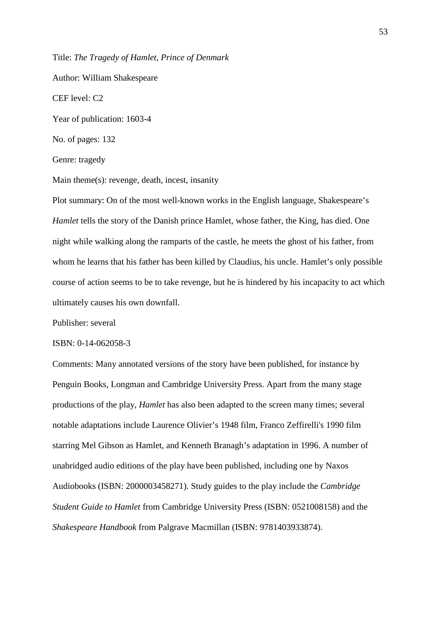Title: *The Tragedy of Hamlet, Prince of Denmark* 

Author: William Shakespeare CEF level: C2 Year of publication: 1603-4 No. of pages: 132 Genre: tragedy

Main theme(s): revenge, death, incest, insanity

Plot summary: On of the most well-known works in the English language, Shakespeare's *Hamlet* tells the story of the Danish prince Hamlet, whose father, the King, has died. One night while walking along the ramparts of the castle, he meets the ghost of his father, from whom he learns that his father has been killed by Claudius, his uncle. Hamlet's only possible course of action seems to be to take revenge, but he is hindered by his incapacity to act which ultimately causes his own downfall.

Publisher: several

#### ISBN: 0-14-062058-3

Comments: Many annotated versions of the story have been published, for instance by Penguin Books, Longman and Cambridge University Press. Apart from the many stage productions of the play, *Hamlet* has also been adapted to the screen many times; several notable adaptations include Laurence Olivier's 1948 film, Franco Zeffirelli's 1990 film starring Mel Gibson as Hamlet, and Kenneth Branagh's adaptation in 1996. A number of unabridged audio editions of the play have been published, including one by Naxos Audiobooks (ISBN: 2000003458271). Study guides to the play include the *Cambridge Student Guide to Hamlet* from Cambridge University Press (ISBN: 0521008158) and the *Shakespeare Handbook* from Palgrave Macmillan (ISBN: 9781403933874).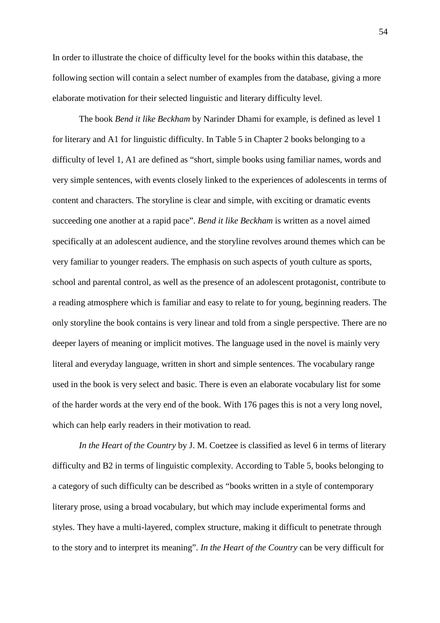In order to illustrate the choice of difficulty level for the books within this database, the following section will contain a select number of examples from the database, giving a more elaborate motivation for their selected linguistic and literary difficulty level.

 The book *Bend it like Beckham* by Narinder Dhami for example, is defined as level 1 for literary and A1 for linguistic difficulty. In Table 5 in Chapter 2 books belonging to a difficulty of level 1, A1 are defined as "short, simple books using familiar names, words and very simple sentences, with events closely linked to the experiences of adolescents in terms of content and characters. The storyline is clear and simple, with exciting or dramatic events succeeding one another at a rapid pace". *Bend it like Beckham* is written as a novel aimed specifically at an adolescent audience, and the storyline revolves around themes which can be very familiar to younger readers. The emphasis on such aspects of youth culture as sports, school and parental control, as well as the presence of an adolescent protagonist, contribute to a reading atmosphere which is familiar and easy to relate to for young, beginning readers. The only storyline the book contains is very linear and told from a single perspective. There are no deeper layers of meaning or implicit motives. The language used in the novel is mainly very literal and everyday language, written in short and simple sentences. The vocabulary range used in the book is very select and basic. There is even an elaborate vocabulary list for some of the harder words at the very end of the book. With 176 pages this is not a very long novel, which can help early readers in their motivation to read.

*In the Heart of the Country* by J. M. Coetzee is classified as level 6 in terms of literary difficulty and B2 in terms of linguistic complexity. According to Table 5, books belonging to a category of such difficulty can be described as "books written in a style of contemporary literary prose, using a broad vocabulary, but which may include experimental forms and styles. They have a multi-layered, complex structure, making it difficult to penetrate through to the story and to interpret its meaning". *In the Heart of the Country* can be very difficult for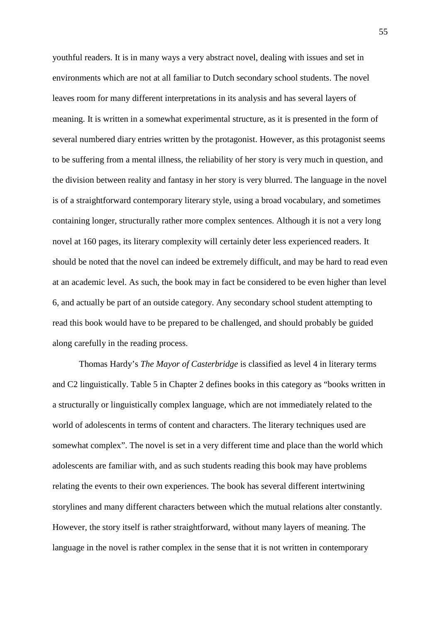youthful readers. It is in many ways a very abstract novel, dealing with issues and set in environments which are not at all familiar to Dutch secondary school students. The novel leaves room for many different interpretations in its analysis and has several layers of meaning. It is written in a somewhat experimental structure, as it is presented in the form of several numbered diary entries written by the protagonist. However, as this protagonist seems to be suffering from a mental illness, the reliability of her story is very much in question, and the division between reality and fantasy in her story is very blurred. The language in the novel is of a straightforward contemporary literary style, using a broad vocabulary, and sometimes containing longer, structurally rather more complex sentences. Although it is not a very long novel at 160 pages, its literary complexity will certainly deter less experienced readers. It should be noted that the novel can indeed be extremely difficult, and may be hard to read even at an academic level. As such, the book may in fact be considered to be even higher than level 6, and actually be part of an outside category. Any secondary school student attempting to read this book would have to be prepared to be challenged, and should probably be guided along carefully in the reading process.

Thomas Hardy's *The Mayor of Casterbridge* is classified as level 4 in literary terms and C2 linguistically. Table 5 in Chapter 2 defines books in this category as "books written in a structurally or linguistically complex language, which are not immediately related to the world of adolescents in terms of content and characters. The literary techniques used are somewhat complex". The novel is set in a very different time and place than the world which adolescents are familiar with, and as such students reading this book may have problems relating the events to their own experiences. The book has several different intertwining storylines and many different characters between which the mutual relations alter constantly. However, the story itself is rather straightforward, without many layers of meaning. The language in the novel is rather complex in the sense that it is not written in contemporary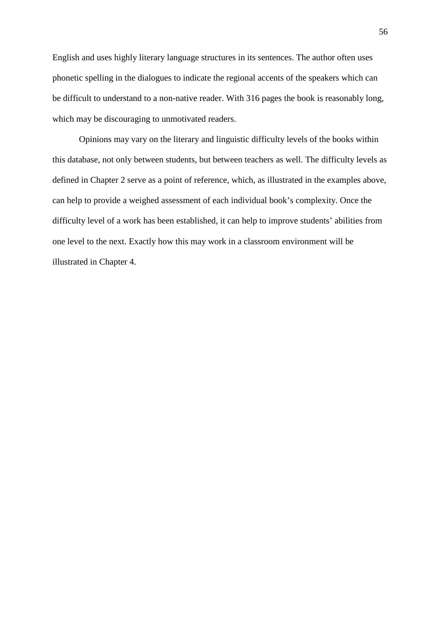English and uses highly literary language structures in its sentences. The author often uses phonetic spelling in the dialogues to indicate the regional accents of the speakers which can be difficult to understand to a non-native reader. With 316 pages the book is reasonably long, which may be discouraging to unmotivated readers.

Opinions may vary on the literary and linguistic difficulty levels of the books within this database, not only between students, but between teachers as well. The difficulty levels as defined in Chapter 2 serve as a point of reference, which, as illustrated in the examples above, can help to provide a weighed assessment of each individual book's complexity. Once the difficulty level of a work has been established, it can help to improve students' abilities from one level to the next. Exactly how this may work in a classroom environment will be illustrated in Chapter 4.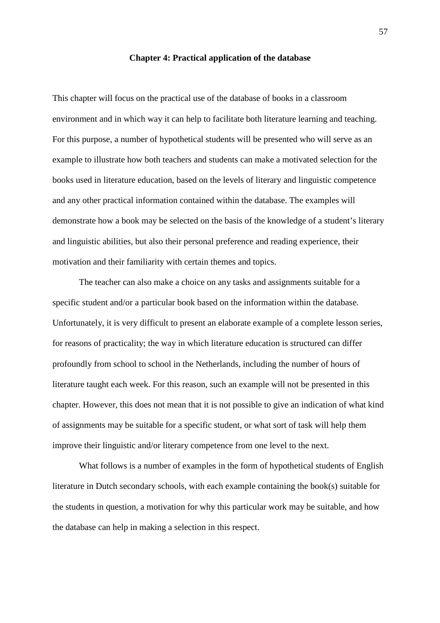#### **Chapter 4: Practical application of the database**

This chapter will focus on the practical use of the database of books in a classroom environment and in which way it can help to facilitate both literature learning and teaching. For this purpose, a number of hypothetical students will be presented who will serve as an example to illustrate how both teachers and students can make a motivated selection for the books used in literature education, based on the levels of literary and linguistic competence and any other practical information contained within the database. The examples will demonstrate how a book may be selected on the basis of the knowledge of a student's literary and linguistic abilities, but also their personal preference and reading experience, their motivation and their familiarity with certain themes and topics.

The teacher can also make a choice on any tasks and assignments suitable for a specific student and/or a particular book based on the information within the database. Unfortunately, it is very difficult to present an elaborate example of a complete lesson series, for reasons of practicality; the way in which literature education is structured can differ profoundly from school to school in the Netherlands, including the number of hours of literature taught each week. For this reason, such an example will not be presented in this chapter. However, this does not mean that it is not possible to give an indication of what kind of assignments may be suitable for a specific student, or what sort of task will help them improve their linguistic and/or literary competence from one level to the next.

What follows is a number of examples in the form of hypothetical students of English literature in Dutch secondary schools, with each example containing the book(s) suitable for the students in question, a motivation for why this particular work may be suitable, and how the database can help in making a selection in this respect.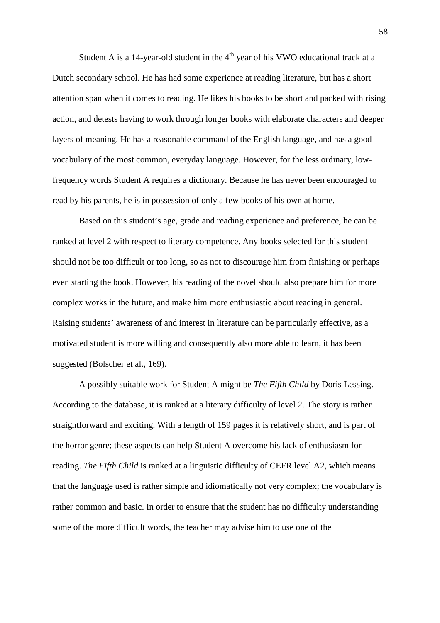Student A is a 14-year-old student in the  $4<sup>th</sup>$  year of his VWO educational track at a Dutch secondary school. He has had some experience at reading literature, but has a short attention span when it comes to reading. He likes his books to be short and packed with rising action, and detests having to work through longer books with elaborate characters and deeper layers of meaning. He has a reasonable command of the English language, and has a good vocabulary of the most common, everyday language. However, for the less ordinary, lowfrequency words Student A requires a dictionary. Because he has never been encouraged to read by his parents, he is in possession of only a few books of his own at home.

Based on this student's age, grade and reading experience and preference, he can be ranked at level 2 with respect to literary competence. Any books selected for this student should not be too difficult or too long, so as not to discourage him from finishing or perhaps even starting the book. However, his reading of the novel should also prepare him for more complex works in the future, and make him more enthusiastic about reading in general. Raising students' awareness of and interest in literature can be particularly effective, as a motivated student is more willing and consequently also more able to learn, it has been suggested (Bolscher et al., 169).

A possibly suitable work for Student A might be *The Fifth Child* by Doris Lessing. According to the database, it is ranked at a literary difficulty of level 2. The story is rather straightforward and exciting. With a length of 159 pages it is relatively short, and is part of the horror genre; these aspects can help Student A overcome his lack of enthusiasm for reading. *The Fifth Child* is ranked at a linguistic difficulty of CEFR level A2, which means that the language used is rather simple and idiomatically not very complex; the vocabulary is rather common and basic. In order to ensure that the student has no difficulty understanding some of the more difficult words, the teacher may advise him to use one of the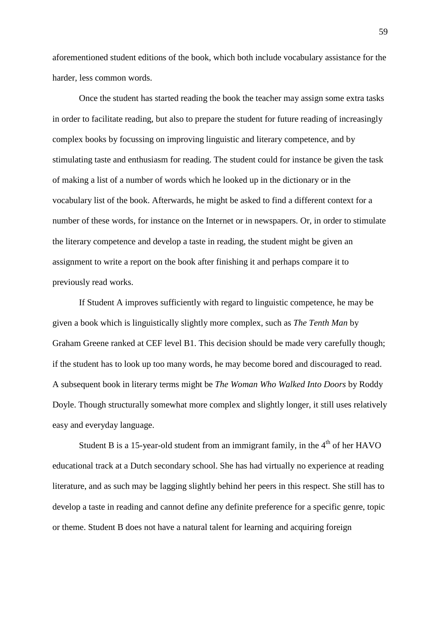aforementioned student editions of the book, which both include vocabulary assistance for the harder, less common words.

Once the student has started reading the book the teacher may assign some extra tasks in order to facilitate reading, but also to prepare the student for future reading of increasingly complex books by focussing on improving linguistic and literary competence, and by stimulating taste and enthusiasm for reading. The student could for instance be given the task of making a list of a number of words which he looked up in the dictionary or in the vocabulary list of the book. Afterwards, he might be asked to find a different context for a number of these words, for instance on the Internet or in newspapers. Or, in order to stimulate the literary competence and develop a taste in reading, the student might be given an assignment to write a report on the book after finishing it and perhaps compare it to previously read works.

If Student A improves sufficiently with regard to linguistic competence, he may be given a book which is linguistically slightly more complex, such as *The Tenth Man* by Graham Greene ranked at CEF level B1. This decision should be made very carefully though; if the student has to look up too many words, he may become bored and discouraged to read. A subsequent book in literary terms might be *The Woman Who Walked Into Doors* by Roddy Doyle. Though structurally somewhat more complex and slightly longer, it still uses relatively easy and everyday language.

Student B is a 15-year-old student from an immigrant family, in the  $4<sup>th</sup>$  of her HAVO educational track at a Dutch secondary school. She has had virtually no experience at reading literature, and as such may be lagging slightly behind her peers in this respect. She still has to develop a taste in reading and cannot define any definite preference for a specific genre, topic or theme. Student B does not have a natural talent for learning and acquiring foreign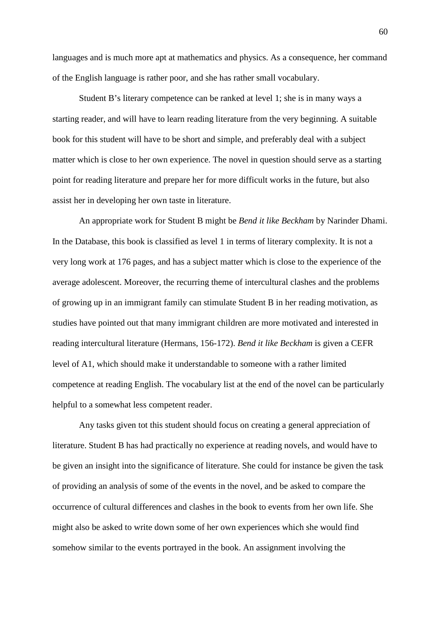languages and is much more apt at mathematics and physics. As a consequence, her command of the English language is rather poor, and she has rather small vocabulary.

Student B's literary competence can be ranked at level 1; she is in many ways a starting reader, and will have to learn reading literature from the very beginning. A suitable book for this student will have to be short and simple, and preferably deal with a subject matter which is close to her own experience. The novel in question should serve as a starting point for reading literature and prepare her for more difficult works in the future, but also assist her in developing her own taste in literature.

An appropriate work for Student B might be *Bend it like Beckham* by Narinder Dhami. In the Database, this book is classified as level 1 in terms of literary complexity. It is not a very long work at 176 pages, and has a subject matter which is close to the experience of the average adolescent. Moreover, the recurring theme of intercultural clashes and the problems of growing up in an immigrant family can stimulate Student B in her reading motivation, as studies have pointed out that many immigrant children are more motivated and interested in reading intercultural literature (Hermans, 156-172). *Bend it like Beckham* is given a CEFR level of A1, which should make it understandable to someone with a rather limited competence at reading English. The vocabulary list at the end of the novel can be particularly helpful to a somewhat less competent reader.

Any tasks given tot this student should focus on creating a general appreciation of literature. Student B has had practically no experience at reading novels, and would have to be given an insight into the significance of literature. She could for instance be given the task of providing an analysis of some of the events in the novel, and be asked to compare the occurrence of cultural differences and clashes in the book to events from her own life. She might also be asked to write down some of her own experiences which she would find somehow similar to the events portrayed in the book. An assignment involving the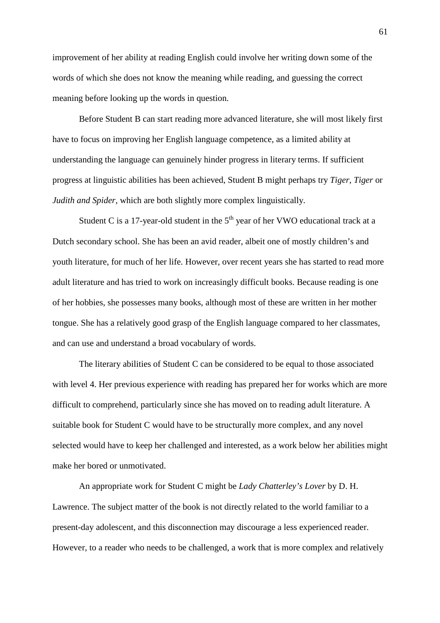improvement of her ability at reading English could involve her writing down some of the words of which she does not know the meaning while reading, and guessing the correct meaning before looking up the words in question.

Before Student B can start reading more advanced literature, she will most likely first have to focus on improving her English language competence, as a limited ability at understanding the language can genuinely hinder progress in literary terms. If sufficient progress at linguistic abilities has been achieved, Student B might perhaps try *Tiger, Tiger* or *Judith and Spider*, which are both slightly more complex linguistically.

Student C is a 17-year-old student in the  $5<sup>th</sup>$  year of her VWO educational track at a Dutch secondary school. She has been an avid reader, albeit one of mostly children's and youth literature, for much of her life. However, over recent years she has started to read more adult literature and has tried to work on increasingly difficult books. Because reading is one of her hobbies, she possesses many books, although most of these are written in her mother tongue. She has a relatively good grasp of the English language compared to her classmates, and can use and understand a broad vocabulary of words.

The literary abilities of Student C can be considered to be equal to those associated with level 4. Her previous experience with reading has prepared her for works which are more difficult to comprehend, particularly since she has moved on to reading adult literature. A suitable book for Student C would have to be structurally more complex, and any novel selected would have to keep her challenged and interested, as a work below her abilities might make her bored or unmotivated.

An appropriate work for Student C might be *Lady Chatterley's Lover* by D. H. Lawrence. The subject matter of the book is not directly related to the world familiar to a present-day adolescent, and this disconnection may discourage a less experienced reader. However, to a reader who needs to be challenged, a work that is more complex and relatively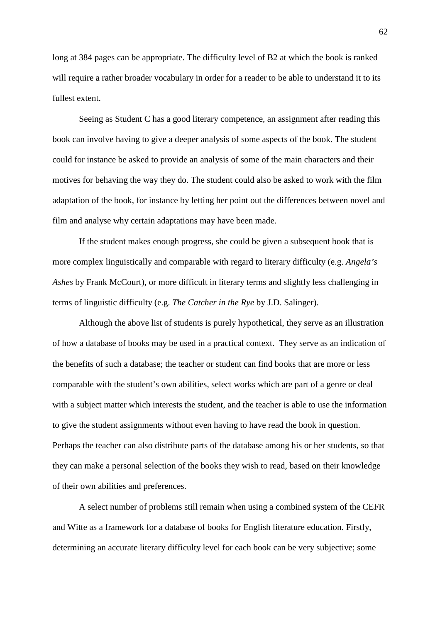long at 384 pages can be appropriate. The difficulty level of B2 at which the book is ranked will require a rather broader vocabulary in order for a reader to be able to understand it to its fullest extent.

Seeing as Student C has a good literary competence, an assignment after reading this book can involve having to give a deeper analysis of some aspects of the book. The student could for instance be asked to provide an analysis of some of the main characters and their motives for behaving the way they do. The student could also be asked to work with the film adaptation of the book, for instance by letting her point out the differences between novel and film and analyse why certain adaptations may have been made.

If the student makes enough progress, she could be given a subsequent book that is more complex linguistically and comparable with regard to literary difficulty (e.g. *Angela's Ashes* by Frank McCourt), or more difficult in literary terms and slightly less challenging in terms of linguistic difficulty (e.g. *The Catcher in the Rye* by J.D. Salinger).

Although the above list of students is purely hypothetical, they serve as an illustration of how a database of books may be used in a practical context. They serve as an indication of the benefits of such a database; the teacher or student can find books that are more or less comparable with the student's own abilities, select works which are part of a genre or deal with a subject matter which interests the student, and the teacher is able to use the information to give the student assignments without even having to have read the book in question. Perhaps the teacher can also distribute parts of the database among his or her students, so that they can make a personal selection of the books they wish to read, based on their knowledge of their own abilities and preferences.

A select number of problems still remain when using a combined system of the CEFR and Witte as a framework for a database of books for English literature education. Firstly, determining an accurate literary difficulty level for each book can be very subjective; some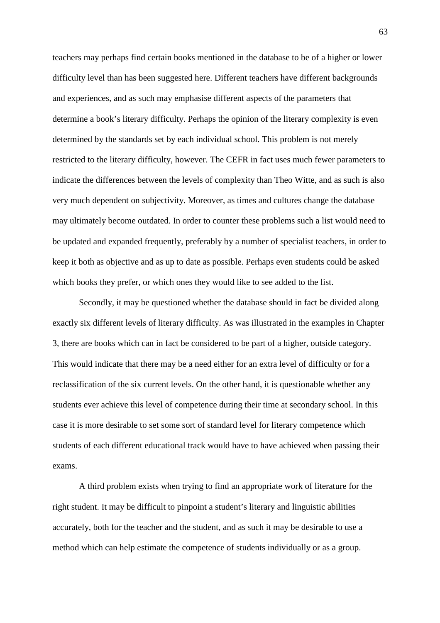teachers may perhaps find certain books mentioned in the database to be of a higher or lower difficulty level than has been suggested here. Different teachers have different backgrounds and experiences, and as such may emphasise different aspects of the parameters that determine a book's literary difficulty. Perhaps the opinion of the literary complexity is even determined by the standards set by each individual school. This problem is not merely restricted to the literary difficulty, however. The CEFR in fact uses much fewer parameters to indicate the differences between the levels of complexity than Theo Witte, and as such is also very much dependent on subjectivity. Moreover, as times and cultures change the database may ultimately become outdated. In order to counter these problems such a list would need to be updated and expanded frequently, preferably by a number of specialist teachers, in order to keep it both as objective and as up to date as possible. Perhaps even students could be asked which books they prefer, or which ones they would like to see added to the list.

Secondly, it may be questioned whether the database should in fact be divided along exactly six different levels of literary difficulty. As was illustrated in the examples in Chapter 3, there are books which can in fact be considered to be part of a higher, outside category. This would indicate that there may be a need either for an extra level of difficulty or for a reclassification of the six current levels. On the other hand, it is questionable whether any students ever achieve this level of competence during their time at secondary school. In this case it is more desirable to set some sort of standard level for literary competence which students of each different educational track would have to have achieved when passing their exams.

A third problem exists when trying to find an appropriate work of literature for the right student. It may be difficult to pinpoint a student's literary and linguistic abilities accurately, both for the teacher and the student, and as such it may be desirable to use a method which can help estimate the competence of students individually or as a group.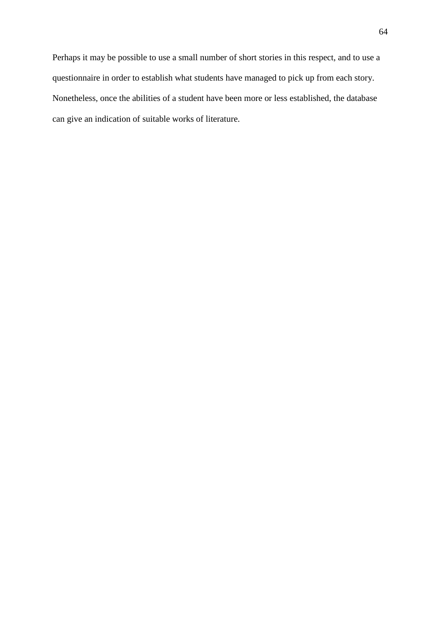Perhaps it may be possible to use a small number of short stories in this respect, and to use a questionnaire in order to establish what students have managed to pick up from each story. Nonetheless, once the abilities of a student have been more or less established, the database can give an indication of suitable works of literature.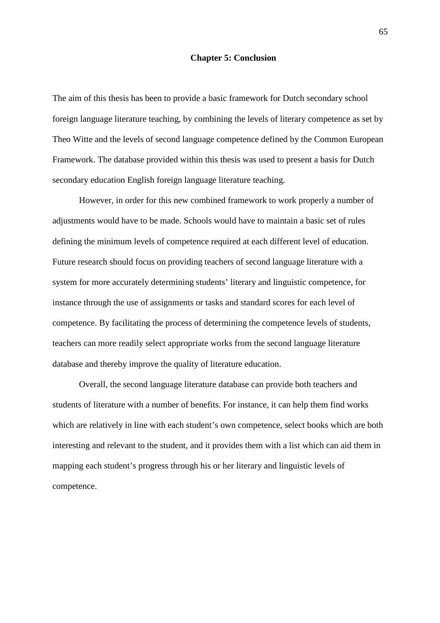#### **Chapter 5: Conclusion**

The aim of this thesis has been to provide a basic framework for Dutch secondary school foreign language literature teaching, by combining the levels of literary competence as set by Theo Witte and the levels of second language competence defined by the Common European Framework. The database provided within this thesis was used to present a basis for Dutch secondary education English foreign language literature teaching.

 However, in order for this new combined framework to work properly a number of adjustments would have to be made. Schools would have to maintain a basic set of rules defining the minimum levels of competence required at each different level of education. Future research should focus on providing teachers of second language literature with a system for more accurately determining students' literary and linguistic competence, for instance through the use of assignments or tasks and standard scores for each level of competence. By facilitating the process of determining the competence levels of students, teachers can more readily select appropriate works from the second language literature database and thereby improve the quality of literature education.

 Overall, the second language literature database can provide both teachers and students of literature with a number of benefits. For instance, it can help them find works which are relatively in line with each student's own competence, select books which are both interesting and relevant to the student, and it provides them with a list which can aid them in mapping each student's progress through his or her literary and linguistic levels of competence.

65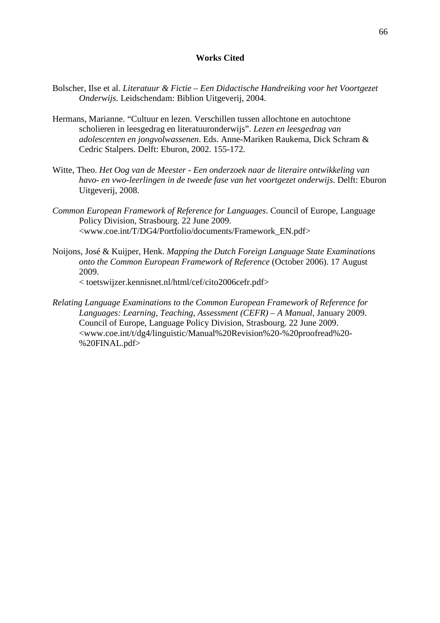#### **Works Cited**

- Bolscher, Ilse et al. *Literatuur & Fictie Een Didactische Handreiking voor het Voortgezet Onderwijs*. Leidschendam: Biblion Uitgeverij, 2004.
- Hermans, Marianne. "Cultuur en lezen. Verschillen tussen allochtone en autochtone scholieren in leesgedrag en literatuuronderwijs". *Lezen en leesgedrag van adolescenten en jongvolwassenen*. Eds. Anne-Mariken Raukema, Dick Schram & Cedric Stalpers. Delft: Eburon, 2002. 155-172.
- Witte, Theo. *Het Oog van de Meester Een onderzoek naar de literaire ontwikkeling van havo- en vwo-leerlingen in de tweede fase van het voortgezet onderwijs*. Delft: Eburon Uitgeverij, 2008.
- *Common European Framework of Reference for Languages*. Council of Europe, Language Policy Division, Strasbourg. 22 June 2009. <www.coe.int/T/DG4/Portfolio/documents/Framework\_EN.pdf>
- Noijons, José & Kuijper, Henk. *Mapping the Dutch Foreign Language State Examinations onto the Common European Framework of Reference* (October 2006). 17 August 2009. < toetswijzer.kennisnet.nl/html/cef/cito2006cefr.pdf>
- *Relating Language Examinations to the Common European Framework of Reference for Languages: Learning, Teaching, Assessment (CEFR) – A Manual*, January 2009. Council of Europe, Language Policy Division, Strasbourg. 22 June 2009. <www.coe.int/t/dg4/linguistic/Manual%20Revision%20-%20proofread%20- %20FINAL.pdf>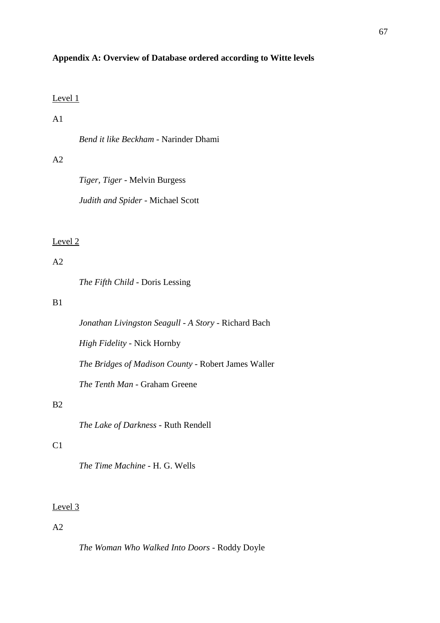### **Appendix A: Overview of Database ordered according to Witte levels**

### Level 1

# $A<sub>1</sub>$

*Bend it like Beckham* - Narinder Dhami

# $A2$

*Tiger, Tiger* - Melvin Burgess

*Judith and Spider* - Michael Scott

### Level 2

# $A2$

*The Fifth Child* - Doris Lessing

# B1

*Jonathan Livingston Seagull - A Story* - Richard Bach

*High Fidelity* - Nick Hornby

*The Bridges of Madison County* - Robert James Waller

*The Tenth Man* - Graham Greene

## B2

*The Lake of Darkness* - Ruth Rendell

# $C1$

*The Time Machine* - H. G. Wells

### Level 3

# $A2$

*The Woman Who Walked Into Doors* - Roddy Doyle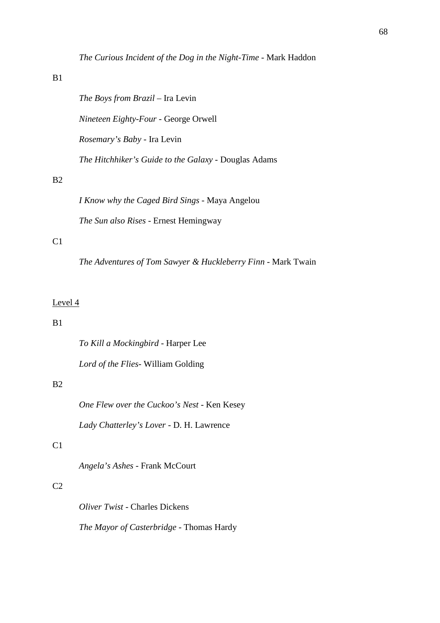# B1

B2

 $C1$ 

| <i>The Boys from Brazil</i> – Ira Levin                                 |
|-------------------------------------------------------------------------|
| <i>Nineteen Eighty-Four - George Orwell</i>                             |
| <i>Rosemary's Baby</i> - Ira Levin                                      |
| The Hitchhiker's Guide to the Galaxy - Douglas Adams                    |
|                                                                         |
| <i>I Know why the Caged Bird Sings - Maya Angelou</i>                   |
| <i>The Sun also Rises</i> - Ernest Hemingway                            |
|                                                                         |
| <i>The Adventures of Tom Sawyer &amp; Huckleberry Finn - Mark Twain</i> |

# Level 4

## B1

*To Kill a Mockingbird* - Harper Lee

*Lord of the Flies*- William Golding

## B2

*One Flew over the Cuckoo's Nest* - Ken Kesey *Lady Chatterley's Lover* - D. H. Lawrence

# C1

*Angela's Ashes* - Frank McCourt

# $C<sub>2</sub>$

*Oliver Twist* - Charles Dickens

*The Mayor of Casterbridge* - Thomas Hardy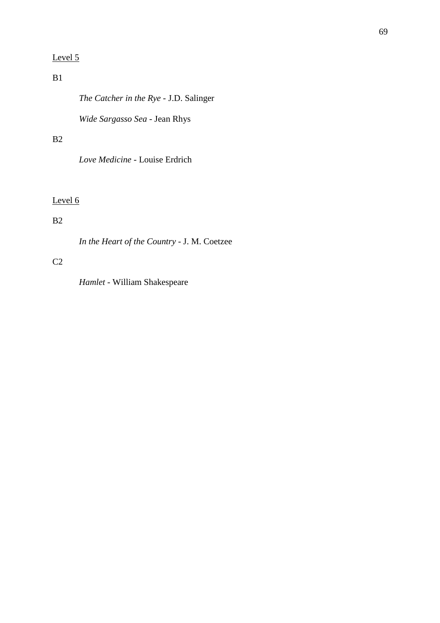# Level 5

# $B1$

*The Catcher in the Rye* - J.D. Salinger

*Wide Sargasso Sea* - Jean Rhys

# B2

*Love Medicine* - Louise Erdrich

# Level 6

# B2

*In the Heart of the Country* - J. M. Coetzee

# $C<sub>2</sub>$

*Hamlet* - William Shakespeare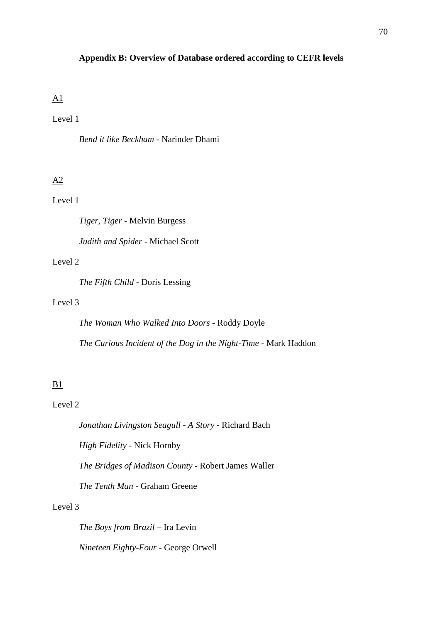### **Appendix B: Overview of Database ordered according to CEFR levels**

# A1

# Level 1

*Bend it like Beckham* - Narinder Dhami

# A2

# Level 1

*Tiger, Tiger* - Melvin Burgess

*Judith and Spider* - Michael Scott

### Level 2

*The Fifth Child* - Doris Lessing

## Level 3

*The Woman Who Walked Into Doors* - Roddy Doyle *The Curious Incident of the Dog in the Night-Time* - Mark Haddon

# B1

# Level 2

*Jonathan Livingston Seagull - A Story* - Richard Bach

*High Fidelity* - Nick Hornby

*The Bridges of Madison County* - Robert James Waller

*The Tenth Man* - Graham Greene

## Level 3

*The Boys from Brazil* – Ira Levin *Nineteen Eighty-Four* - George Orwell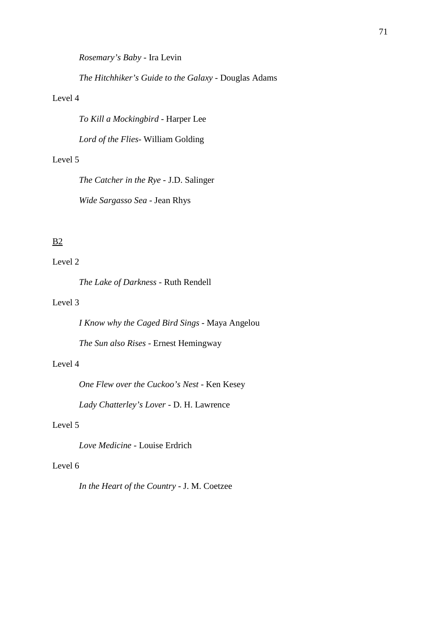*Rosemary's Baby* - Ira Levin

*The Hitchhiker's Guide to the Galaxy* - Douglas Adams

### Level 4

*To Kill a Mockingbird* - Harper Lee

*Lord of the Flies*- William Golding

# Level 5

*The Catcher in the Rye* - J.D. Salinger

*Wide Sargasso Sea* - Jean Rhys

# B2

## Level 2

*The Lake of Darkness* - Ruth Rendell

### Level 3

*I Know why the Caged Bird Sings* - Maya Angelou

*The Sun also Rises* - Ernest Hemingway

## Level 4

*One Flew over the Cuckoo's Nest* - Ken Kesey

*Lady Chatterley's Lover* - D. H. Lawrence

## Level 5

*Love Medicine* - Louise Erdrich

## Level 6

*In the Heart of the Country* - J. M. Coetzee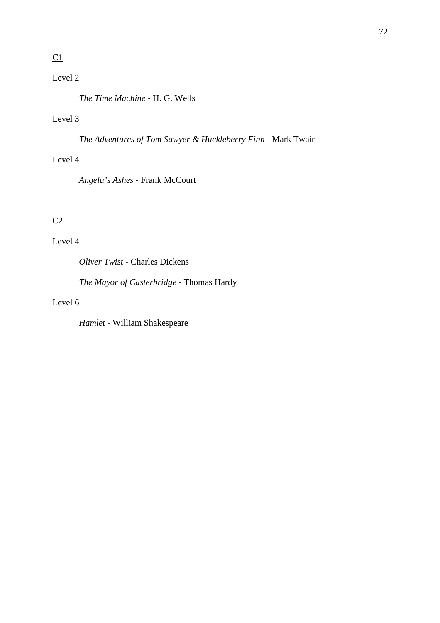# $C1$

## Level 2

*The Time Machine* - H. G. Wells

## Level 3

*The Adventures of Tom Sawyer & Huckleberry Finn* - Mark Twain

### Level 4

*Angela's Ashes* - Frank McCourt

## $C2$

## Level 4

*Oliver Twist* - Charles Dickens

*The Mayor of Casterbridge* - Thomas Hardy

### Level 6

*Hamlet* - William Shakespeare